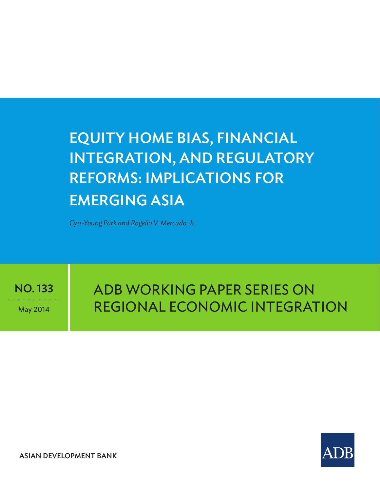# Equity Home Bias, Financial Integration, and Regulatory Reforms: Implications for Emerging Asia

*Cyn-Young Park and Rogelio V. Mercado, Jr.*

NO. 133

May 2014

adb Working paper Series on Regional Economic Integration



ASIAN DEVELOPMENT BANK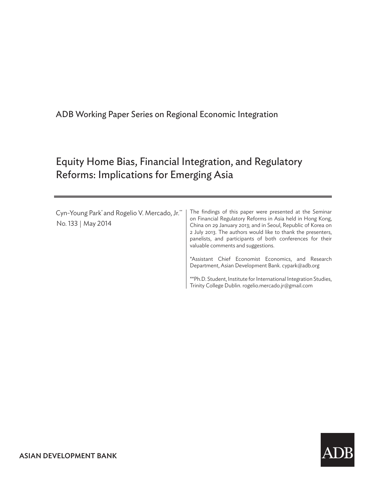ADB Working Paper Series on Regional Economic Integration

## Equity Home Bias, Financial Integration, and Regulatory Reforms: Implications for Emerging Asia

| Cyn-Young Park* and Rogelio V. Mercado, Jr.*<br>No. 133   May 2014 | The findings of this paper were presented at the Seminar<br>on Financial Regulatory Reforms in Asia held in Hong Kong,<br>China on 29 January 2013; and in Seoul, Republic of Korea on<br>2 July 2013. The authors would like to thank the presenters,<br>panelists, and participants of both conferences for their<br>valuable comments and suggestions. |
|--------------------------------------------------------------------|-----------------------------------------------------------------------------------------------------------------------------------------------------------------------------------------------------------------------------------------------------------------------------------------------------------------------------------------------------------|
|                                                                    | *Assistant Chief Economist Economics, and Research<br>Department, Asian Development Bank. cypark@adb.org                                                                                                                                                                                                                                                  |
|                                                                    | **Ph.D. Student, Institute for International Integration Studies,<br>Trinity College Dublin. rogelio.mercado.jr@gmail.com                                                                                                                                                                                                                                 |

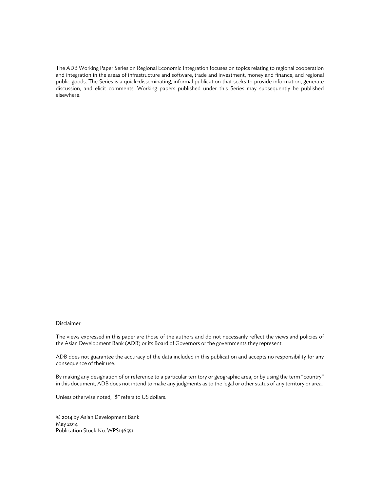The ADB Working Paper Series on Regional Economic Integration focuses on topics relating to regional cooperation and integration in the areas of infrastructure and software, trade and investment, money and finance, and regional public goods. The Series is a quick-disseminating, informal publication that seeks to provide information, generate discussion, and elicit comments. Working papers published under this Series may subsequently be published elsewhere.

#### Disclaimer:

The views expressed in this paper are those of the authors and do not necessarily reflect the views and policies of the Asian Development Bank (ADB) or its Board of Governors or the governments they represent.

ADB does not guarantee the accuracy of the data included in this publication and accepts no responsibility for any consequence of their use.

By making any designation of or reference to a particular territory or geographic area, or by using the term "country" in this document, ADB does not intend to make any judgments as to the legal or other status of any territory or area.

Unless otherwise noted, "\$" refers to US dollars.

© 2014 by Asian Development Bank May 2014 Publication Stock No. WPS146551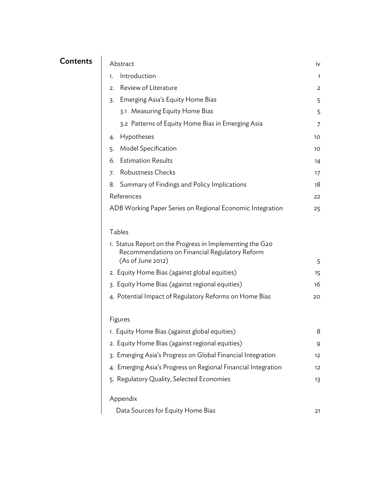| Contents | Abstract                                                                                                                        | iv             |
|----------|---------------------------------------------------------------------------------------------------------------------------------|----------------|
|          | Introduction<br>1.                                                                                                              | 1              |
|          | 2. Review of Literature                                                                                                         | $\overline{2}$ |
|          | 3. Emerging Asia's Equity Home Bias                                                                                             | 5              |
|          | 3.1 Measuring Equity Home Bias                                                                                                  | 5              |
|          | 3.2 Patterns of Equity Home Bias in Emerging Asia                                                                               | 7              |
|          | 4. Hypotheses                                                                                                                   | 10             |
|          | 5. Model Specification                                                                                                          | 10             |
|          | 6. Estimation Results                                                                                                           | 14             |
|          | 7. Robustness Checks                                                                                                            | 17             |
|          | 8. Summary of Findings and Policy Implications                                                                                  | 18             |
|          | References                                                                                                                      | 22             |
|          | ADB Working Paper Series on Regional Economic Integration                                                                       | 25             |
|          | <b>Tables</b>                                                                                                                   |                |
|          | 1. Status Report on the Progress in Implementing the G20<br>Recommendations on Financial Regulatory Reform<br>(As of June 2012) | 5              |
|          | 2. Equity Home Bias (against global equities)                                                                                   | 15             |
|          | 3. Equity Home Bias (against regional equities)                                                                                 | 16             |
|          | 4. Potential Impact of Regulatory Reforms on Home Bias                                                                          | 20             |
|          | Figures                                                                                                                         |                |
|          | 1. Equity Home Bias (against global equities)                                                                                   | 8              |
|          | 2. Equity Home Bias (against regional equities)                                                                                 | 9              |
|          | 3. Emerging Asia's Progress on Global Financial Integration                                                                     | 12             |
|          | 4. Emerging Asia's Progress on Regional Financial Integration                                                                   |                |
|          | 5. Regulatory Quality, Selected Economies                                                                                       | 12             |
|          |                                                                                                                                 | 13             |
|          | Appendix                                                                                                                        |                |
|          | Data Sources for Equity Home Bias                                                                                               | 21             |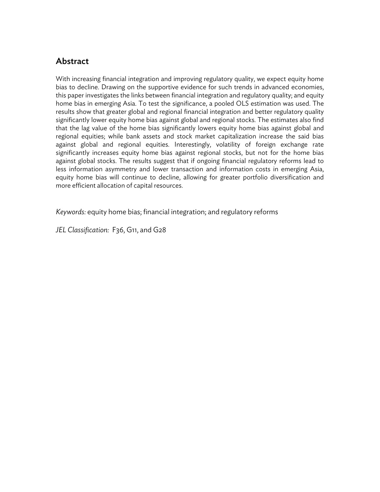## **Abstract**

With increasing financial integration and improving regulatory quality, we expect equity home bias to decline. Drawing on the supportive evidence for such trends in advanced economies, this paper investigates the links between financial integration and regulatory quality; and equity home bias in emerging Asia. To test the significance, a pooled OLS estimation was used. The results show that greater global and regional financial integration and better regulatory quality significantly lower equity home bias against global and regional stocks. The estimates also find that the lag value of the home bias significantly lowers equity home bias against global and regional equities; while bank assets and stock market capitalization increase the said bias against global and regional equities. Interestingly, volatility of foreign exchange rate significantly increases equity home bias against regional stocks, but not for the home bias against global stocks. The results suggest that if ongoing financial regulatory reforms lead to less information asymmetry and lower transaction and information costs in emerging Asia, equity home bias will continue to decline, allowing for greater portfolio diversification and more efficient allocation of capital resources.

*Keywords:* equity home bias; financial integration; and regulatory reforms

*JEL Classification:* F36, G11, and G28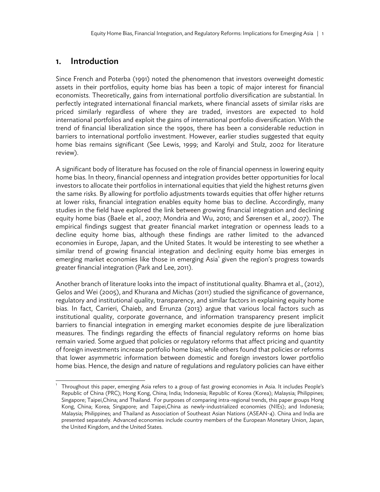## 1. Introduction

1 1

Since French and Poterba (1991) noted the phenomenon that investors overweight domestic assets in their portfolios, equity home bias has been a topic of major interest for financial economists. Theoretically, gains from international portfolio diversification are substantial. In perfectly integrated international financial markets, where financial assets of similar risks are priced similarly regardless of where they are traded, investors are expected to hold international portfolios and exploit the gains of international portfolio diversification. With the trend of financial liberalization since the 1990s, there has been a considerable reduction in barriers to international portfolio investment. However, earlier studies suggested that equity home bias remains significant (See Lewis, 1999; and Karolyi and Stulz, 2002 for literature review).

A significant body of literature has focused on the role of financial openness in lowering equity home bias. In theory, financial openness and integration provides better opportunities for local investors to allocate their portfolios in international equities that yield the highest returns given the same risks. By allowing for portfolio adjustments towards equities that offer higher returns at lower risks, financial integration enables equity home bias to decline. Accordingly, many studies in the field have explored the link between growing financial integration and declining equity home bias (Baele et al., 2007; Mondria and Wu, 2010; and Sørensen et al., 2007). The empirical findings suggest that greater financial market integration or openness leads to a decline equity home bias, although these findings are rather limited to the advanced economies in Europe, Japan, and the United States. It would be interesting to see whether a similar trend of growing financial integration and declining equity home bias emerges in emerging market economies like those in emerging Asia<sup>1</sup> given the region's progress towards greater financial integration (Park and Lee, 2011).

Another branch of literature looks into the impact of institutional quality. Bhamra et al., (2012), Gelos and Wei (2005), and Khurana and Michas (2011) studied the significance of governance, regulatory and institutional quality, transparency, and similar factors in explaining equity home bias. In fact, Carrieri, Chaieb, and Errunza (2013) argue that various local factors such as institutional quality, corporate governance, and information transparency present implicit barriers to financial integration in emerging market economies despite de jure liberalization measures. The findings regarding the effects of financial regulatory reforms on home bias remain varied. Some argued that policies or regulatory reforms that affect pricing and quantity of foreign investments increase portfolio home bias; while others found that policies or reforms that lower asymmetric information between domestic and foreign investors lower portfolio home bias. Hence, the design and nature of regulations and regulatory policies can have either

Throughout this paper, emerging Asia refers to a group of fast growing economies in Asia. It includes People's Republic of China (PRC); Hong Kong, China; India; Indonesia; Republic of Korea (Korea); Malaysia; Philippines; Singapore; Taipei,China; and Thailand. For purposes of comparing intra-regional trends, this paper groups Hong Kong, China; Korea; Singapore; and Taipei,China as newly-industrialized economies (NIEs); and Indonesia; Malaysia; Philippines; and Thailand as Association of Southeast Asian Nations (ASEAN-4). China and India are presented separately. Advanced economies include country members of the European Monetary Union, Japan, the United Kingdom, and the United States.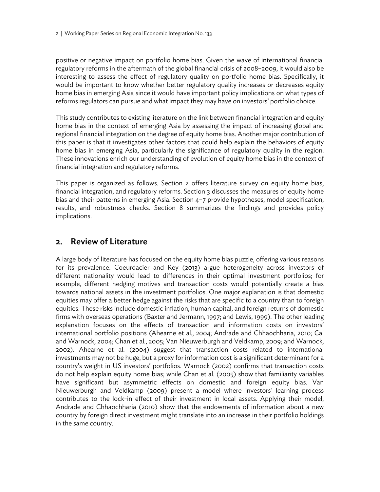positive or negative impact on portfolio home bias. Given the wave of international financial regulatory reforms in the aftermath of the global financial crisis of 2008–2009, it would also be interesting to assess the effect of regulatory quality on portfolio home bias. Specifically, it would be important to know whether better regulatory quality increases or decreases equity home bias in emerging Asia since it would have important policy implications on what types of reforms regulators can pursue and what impact they may have on investors' portfolio choice.

This study contributes to existing literature on the link between financial integration and equity home bias in the context of emerging Asia by assessing the impact of increasing global and regional financial integration on the degree of equity home bias. Another major contribution of this paper is that it investigates other factors that could help explain the behaviors of equity home bias in emerging Asia, particularly the significance of regulatory quality in the region. These innovations enrich our understanding of evolution of equity home bias in the context of financial integration and regulatory reforms.

This paper is organized as follows. Section 2 offers literature survey on equity home bias, financial integration, and regulatory reforms. Section 3 discusses the measures of equity home bias and their patterns in emerging Asia. Section 4–7 provide hypotheses, model specification, results, and robustness checks. Section 8 summarizes the findings and provides policy implications.

## 2. Review of Literature

A large body of literature has focused on the equity home bias puzzle, offering various reasons for its prevalence. Coeurdacier and Rey (2013) argue heterogeneity across investors of different nationality would lead to differences in their optimal investment portfolios; for example, different hedging motives and transaction costs would potentially create a bias towards national assets in the investment portfolios. One major explanation is that domestic equities may offer a better hedge against the risks that are specific to a country than to foreign equities. These risks include domestic inflation, human capital, and foreign returns of domestic firms with overseas operations (Baxter and Jermann, 1997; and Lewis, 1999). The other leading explanation focuses on the effects of transaction and information costs on investors' international portfolio positions (Ahearne et al., 2004; Andrade and Chhaochharia, 2010; Cai and Warnock, 2004; Chan et al., 2005; Van Nieuwerburgh and Veldkamp, 2009; and Warnock, 2002). Ahearne et al. (2004) suggest that transaction costs related to international investments may not be huge, but a proxy for information cost is a significant determinant for a country's weight in US investors' portfolios. Warnock (2002) confirms that transaction costs do not help explain equity home bias; while Chan et al. (2005) show that familiarity variables have significant but asymmetric effects on domestic and foreign equity bias. Van Nieuwerburgh and Veldkamp (2009) present a model where investors' learning process contributes to the lock-in effect of their investment in local assets. Applying their model, Andrade and Chhaochharia (2010) show that the endowments of information about a new country by foreign direct investment might translate into an increase in their portfolio holdings in the same country.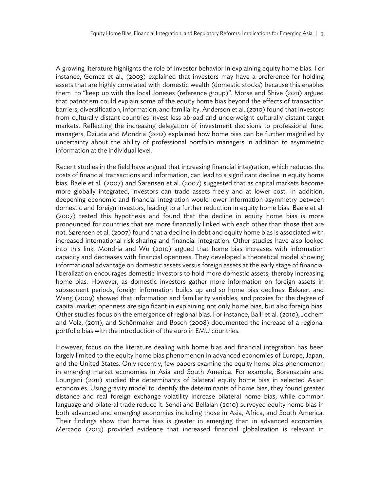A growing literature highlights the role of investor behavior in explaining equity home bias. For instance, Gomez et al., (2003) explained that investors may have a preference for holding assets that are highly correlated with domestic wealth (domestic stocks) because this enables them to "keep up with the local Joneses (reference group)". Morse and Shive (2011) argued that patriotism could explain some of the equity home bias beyond the effects of transaction barriers, diversification, information, and familiarity. Anderson et al. (2010) found that investors from culturally distant countries invest less abroad and underweight culturally distant target markets. Reflecting the increasing delegation of investment decisions to professional fund managers, Dziuda and Mondria (2012) explained how home bias can be further magnified by uncertainty about the ability of professional portfolio managers in addition to asymmetric information at the individual level.

Recent studies in the field have argued that increasing financial integration, which reduces the costs of financial transactions and information, can lead to a significant decline in equity home bias. Baele et al. (2007) and Sørensen et al. (2007) suggested that as capital markets become more globally integrated, investors can trade assets freely and at lower cost. In addition, deepening economic and financial integration would lower information asymmetry between domestic and foreign investors, leading to a further reduction in equity home bias. Baele et al. (2007) tested this hypothesis and found that the decline in equity home bias is more pronounced for countries that are more financially linked with each other than those that are not. Sørensen et al. (2007) found that a decline in debt and equity home bias is associated with increased international risk sharing and financial integration. Other studies have also looked into this link. Mondria and Wu (2010) argued that home bias increases with information capacity and decreases with financial openness. They developed a theoretical model showing informational advantage on domestic assets versus foreign assets at the early stage of financial liberalization encourages domestic investors to hold more domestic assets, thereby increasing home bias. However, as domestic investors gather more information on foreign assets in subsequent periods, foreign information builds up and so home bias declines. Bekaert and Wang (2009) showed that information and familiarity variables, and proxies for the degree of capital market openness are significant in explaining not only home bias, but also foreign bias. Other studies focus on the emergence of regional bias. For instance, Balli et al. (2010), Jochem and Volz, (2011), and Schönmaker and Bosch (2008) documented the increase of a regional portfolio bias with the introduction of the euro in EMU countries.

However, focus on the literature dealing with home bias and financial integration has been largely limited to the equity home bias phenomenon in advanced economies of Europe, Japan, and the United States. Only recently, few papers examine the equity home bias phenomenon in emerging market economies in Asia and South America. For example, Borensztein and Loungani (2011) studied the determinants of bilateral equity home bias in selected Asian economies. Using gravity model to identify the determinants of home bias, they found greater distance and real foreign exchange volatility increase bilateral home bias; while common language and bilateral trade reduce it. Sendi and Bellalah (2010) surveyed equity home bias in both advanced and emerging economies including those in Asia, Africa, and South America. Their findings show that home bias is greater in emerging than in advanced economies. Mercado (2013) provided evidence that increased financial globalization is relevant in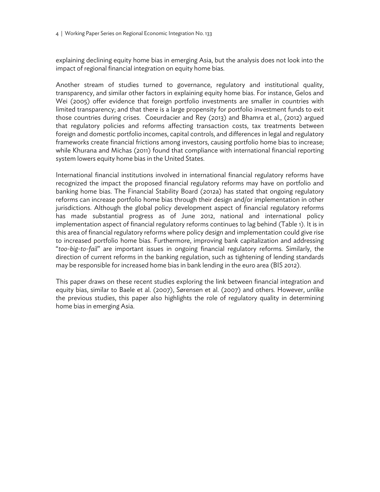explaining declining equity home bias in emerging Asia, but the analysis does not look into the impact of regional financial integration on equity home bias.

Another stream of studies turned to governance, regulatory and institutional quality, transparency, and similar other factors in explaining equity home bias. For instance, Gelos and Wei (2005) offer evidence that foreign portfolio investments are smaller in countries with limited transparency; and that there is a large propensity for portfolio investment funds to exit those countries during crises. Coeurdacier and Rey (2013) and Bhamra et al., (2012) argued that regulatory policies and reforms affecting transaction costs, tax treatments between foreign and domestic portfolio incomes, capital controls, and differences in legal and regulatory frameworks create financial frictions among investors, causing portfolio home bias to increase; while Khurana and Michas (2011) found that compliance with international financial reporting system lowers equity home bias in the United States.

International financial institutions involved in international financial regulatory reforms have recognized the impact the proposed financial regulatory reforms may have on portfolio and banking home bias. The Financial Stability Board (2012a) has stated that ongoing regulatory reforms can increase portfolio home bias through their design and/or implementation in other jurisdictions. Although the global policy development aspect of financial regulatory reforms has made substantial progress as of June 2012, national and international policy implementation aspect of financial regulatory reforms continues to lag behind (Table 1). It is in this area of financial regulatory reforms where policy design and implementation could give rise to increased portfolio home bias. Furthermore, improving bank capitalization and addressing "*too-big-to-fail*" are important issues in ongoing financial regulatory reforms. Similarly, the direction of current reforms in the banking regulation, such as tightening of lending standards may be responsible for increased home bias in bank lending in the euro area (BIS 2012).

This paper draws on these recent studies exploring the link between financial integration and equity bias, similar to Baele et al. (2007), Sørensen et al. (2007) and others. However, unlike the previous studies, this paper also highlights the role of regulatory quality in determining home bias in emerging Asia.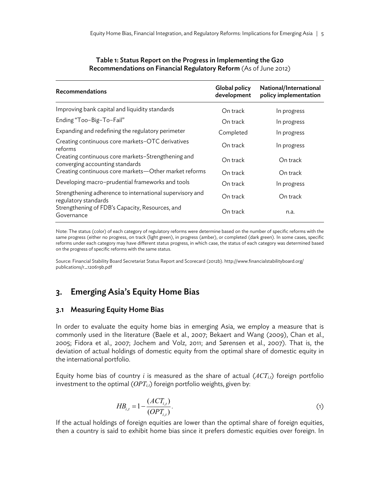| <b>Recommendations</b>                                                                | Global policy<br>development | National/International<br>policy implementation |
|---------------------------------------------------------------------------------------|------------------------------|-------------------------------------------------|
| Improving bank capital and liquidity standards                                        | On track                     | In progress                                     |
| Ending "Too-Big-To-Fail"                                                              | On track                     | In progress                                     |
| Expanding and redefining the regulatory perimeter                                     | Completed                    | In progress                                     |
| Creating continuous core markets-OTC derivatives<br>reforms                           | On track                     | In progress                                     |
| Creating continuous core markets-Strengthening and<br>converging accounting standards | On track                     | On track                                        |
| Creating continuous core markets-Other market reforms                                 | On track                     | On track                                        |
| Developing macro-prudential frameworks and tools                                      | On track                     | In progress                                     |
| Strengthening adherence to international supervisory and<br>regulatory standards      | On track                     | On track                                        |
| Strengthening of FDB's Capacity, Resources, and<br>Governance                         | On track                     | n.a.                                            |

## Table 1: Status Report on the Progress in Implementing the G20 Recommendations on Financial Regulatory Reform (As of June 2012)

Note: The status (color) of each category of regulatory reforms were determine based on the number of specific reforms with the same progress (either no progress, on track (light green), in progress (amber), or completed (dark green). In some cases, specific reforms under each category may have different status progress, in which case, the status of each category was determined based on the progress of specific reforms with the same status.

Source: Financial Stability Board Secretariat Status Report and Scorecard (2012b). http://www.financialstabilityboard.org/ publications/r\_120619b.pdf

## 3. Emerging Asia's Equity Home Bias

## 3.1 Measuring Equity Home Bias

In order to evaluate the equity home bias in emerging Asia, we employ a measure that is commonly used in the literature (Baele et al., 2007; Bekaert and Wang (2009), Chan et al., 2005; Fidora et al., 2007; Jochem and Volz, 2011; and Sørensen et al., 2007). That is, the deviation of actual holdings of domestic equity from the optimal share of domestic equity in the international portfolio.

Equity home bias of country *i* is measured as the share of actual (*ACTi,t*) foreign portfolio investment to the optimal  $(OPT_{i,t})$  foreign portfolio weights, given by:

$$
HB_{i,t} = 1 - \frac{(ACT_{i,t})}{(OPT_{i,t})}.
$$
 (1)

If the actual holdings of foreign equities are lower than the optimal share of foreign equities, then a country is said to exhibit home bias since it prefers domestic equities over foreign. In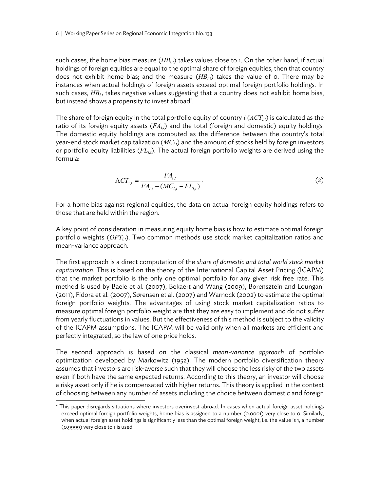such cases, the home bias measure (*HBi,t*) takes values close to 1. On the other hand, if actual holdings of foreign equities are equal to the optimal share of foreign equities, then that country does not exhibit home bias; and the measure  $(HB_{i,j})$  takes the value of 0. There may be instances when actual holdings of foreign assets exceed optimal foreign portfolio holdings. In such cases,  $HB_{i,t}$  takes negative values suggesting that a country does not exhibit home bias, but instead shows a propensity to invest abroad<sup>2</sup>.

The share of foreign equity in the total portfolio equity of country  $i (ACT_{i,j})$  is calculated as the ratio of its foreign equity assets  $(FA_{i,t})$  and the total (foreign and domestic) equity holdings. The domestic equity holdings are computed as the difference between the country's total year-end stock market capitalization  $(MC_{i,t})$  and the amount of stocks held by foreign investors or portfolio equity liabilities (*FLi,t*). The actual foreign portfolio weights are derived using the formula:

$$
ACT_{i,t} = \frac{FA_{i,t}}{FA_{i,t} + (MC_{i,t} - FL_{i,t})}.
$$
 (2)

For a home bias against regional equities, the data on actual foreign equity holdings refers to those that are held within the region.

A key point of consideration in measuring equity home bias is how to estimate optimal foreign portfolio weights (OPT<sub>it</sub>). Two common methods use stock market capitalization ratios and mean-variance approach.

The first approach is a direct computation of the *share of domestic and total world stock market capitalization*. This is based on the theory of the International Capital Asset Pricing (ICAPM) that the market portfolio is the only one optimal portfolio for any given risk free rate. This method is used by Baele et al. (2007), Bekaert and Wang (2009), Borensztein and Loungani (2011), Fidora et al. (2007), Sørensen et al. (2007) and Warnock (2002) to estimate the optimal foreign portfolio weights. The advantages of using stock market capitalization ratios to measure optimal foreign portfolio weight are that they are easy to implement and do not suffer from yearly fluctuations in values. But the effectiveness of this method is subject to the validity of the ICAPM assumptions. The ICAPM will be valid only when all markets are efficient and perfectly integrated, so the law of one price holds.

The second approach is based on the classical *mean-variance approach* of portfolio optimization developed by Markowitz (1952). The modern portfolio diversification theory assumes that investors are risk-averse such that they will choose the less risky of the two assets even if both have the same expected returns. According to this theory, an investor will choose a risky asset only if he is compensated with higher returns. This theory is applied in the context of choosing between any number of assets including the choice between domestic and foreign

 $^{\circ}$  This paper disregards situations where investors overinvest abroad. In cases when actual foreign asset holdings exceed optimal foreign portfolio weights, home bias is assigned to a number (0.0001) very close to 0. Similarly, when actual foreign asset holdings is significantly less than the optimal foreign weight, i.e. the value is 1, a number (0.9999) very close to 1 is used.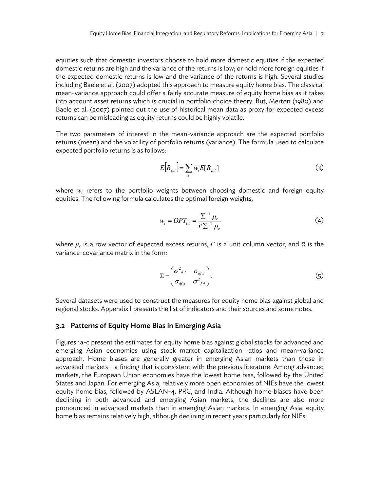equities such that domestic investors choose to hold more domestic equities if the expected domestic returns are high and the variance of the returns is low; or hold more foreign equities if the expected domestic returns is low and the variance of the returns is high. Several studies including Baele et al. (2007) adopted this approach to measure equity home bias. The classical mean-variance approach could offer a fairly accurate measure of equity home bias as it takes into account asset returns which is crucial in portfolio choice theory. But, Merton (1980) and Baele et al. (2007) pointed out the use of historical mean data as proxy for expected excess returns can be misleading as equity returns could be highly volatile.

The two parameters of interest in the mean-variance approach are the expected portfolio returns (mean) and the volatility of portfolio returns (variance). The formula used to calculate expected portfolio returns is as follows:

$$
E[R_{p,t}] = \sum_{i} w_i E[R_{p,t}] \tag{3}
$$

where *wi* refers to the portfolio weights between choosing domestic and foreign equity equities. The following formula calculates the optimal foreign weights.

$$
w_i = OPT_{i,t} = \frac{\sum_{i=1}^{n} \mu_e}{i \sum_{i=1}^{n} \mu_e}
$$
 (4)

where  $\mu_e$  is a row vector of expected excess returns, *i'* is a unit column vector, and  $\Sigma$  is the variance-covariance matrix in the form:

$$
\Sigma = \begin{pmatrix} \sigma^2_{d,t} & \sigma_{df,t} \\ \sigma_{df,t} & \sigma^2_{f,t} \end{pmatrix} .
$$
 (5)

Several datasets were used to construct the measures for equity home bias against global and regional stocks. Appendix I presents the list of indicators and their sources and some notes.

#### 3.2 Patterns of Equity Home Bias in Emerging Asia

Figures 1a-c present the estimates for equity home bias against global stocks for advanced and emerging Asian economies using stock market capitalization ratios and mean-variance approach. Home biases are generally greater in emerging Asian markets than those in advanced markets—a finding that is consistent with the previous literature. Among advanced markets, the European Union economies have the lowest home bias, followed by the United States and Japan. For emerging Asia, relatively more open economies of NIEs have the lowest equity home bias, followed by ASEAN-4, PRC, and India. Although home biases have been declining in both advanced and emerging Asian markets, the declines are also more pronounced in advanced markets than in emerging Asian markets. In emerging Asia, equity home bias remains relatively high, although declining in recent years particularly for NIEs.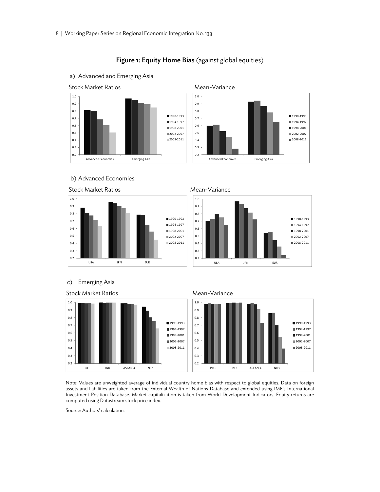## Figure 1: Equity Home Bias (against global equities)



#### a) Advanced and Emerging Asia





#### b) Advanced Economies





#### c) Emerging Asia







Note: Values are unweighted average of individual country home bias with respect to global equities. Data on foreign assets and liabilities are taken from the External Wealth of Nations Database and extended using IMF's International Investment Position Database. Market capitalization is taken from World Development Indicators. Equity returns are computed using Datastream stock price index.

Source: Authors' calculation.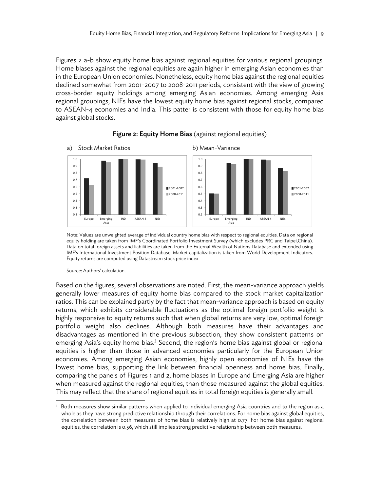Figures 2 a-b show equity home bias against regional equities for various regional groupings. Home biases against the regional equities are again higher in emerging Asian economies than in the European Union economies. Nonetheless, equity home bias against the regional equities declined somewhat from 2001-2007 to 2008-2011 periods, consistent with the view of growing cross-border equity holdings among emerging Asian economies. Among emerging Asia regional groupings, NIEs have the lowest equity home bias against regional stocks, compared to ASEAN-4 economies and India. This patter is consistent with those for equity home bias against global stocks.





#### Source: Authors' calculation.

1

Based on the figures, several observations are noted. First, the mean-variance approach yields generally lower measures of equity home bias compared to the stock market capitalization ratios. This can be explained partly by the fact that mean-variance approach is based on equity returns, which exhibits considerable fluctuations as the optimal foreign portfolio weight is highly responsive to equity returns such that when global returns are very low, optimal foreign portfolio weight also declines. Although both measures have their advantages and disadvantages as mentioned in the previous subsection, they show consistent patterns on emerging Asia's equity home bias.<sup>3</sup> Second, the region's home bias against global or regional equities is higher than those in advanced economies particularly for the European Union economies. Among emerging Asian economies, highly open economies of NIEs have the lowest home bias, supporting the link between financial openness and home bias. Finally, comparing the panels of Figures 1 and 2, home biases in Europe and Emerging Asia are higher when measured against the regional equities, than those measured against the global equities. This may reflect that the share of regional equities in total foreign equities is generally small.

Note: Values are unweighted average of individual country home bias with respect to regional equities. Data on regional equity holding are taken from IMF's Coordinated Portfolio Investment Survey (which excludes PRC and Taipei,China). Data on total foreign assets and liabilities are taken from the External Wealth of Nations Database and extended using IMF's International Investment Position Database. Market capitalization is taken from World Development Indicators. Equity returns are computed using Datastream stock price index.

<sup>3</sup> Both measures show similar patterns when applied to individual emerging Asia countries and to the region as a whole as they have strong predictive relationship through their correlations. For home bias against global equities, the correlation between both measures of home bias is relatively high at 0.77. For home bias against regional equities, the correlation is 0.56, which still implies strong predictive relationship between both measures.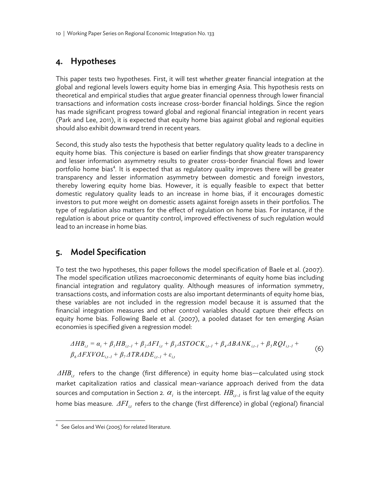## 4. Hypotheses

This paper tests two hypotheses. First, it will test whether greater financial integration at the global and regional levels lowers equity home bias in emerging Asia. This hypothesis rests on theoretical and empirical studies that argue greater financial openness through lower financial transactions and information costs increase cross-border financial holdings. Since the region has made significant progress toward global and regional financial integration in recent years (Park and Lee, 2011), it is expected that equity home bias against global and regional equities should also exhibit downward trend in recent years.

Second, this study also tests the hypothesis that better regulatory quality leads to a decline in equity home bias. This conjecture is based on earlier findings that show greater transparency and lesser information asymmetry results to greater cross-border financial flows and lower portfolio home bias<sup>4</sup>. It is expected that as regulatory quality improves there will be greater transparency and lesser information asymmetry between domestic and foreign investors, thereby lowering equity home bias. However, it is equally feasible to expect that better domestic regulatory quality leads to an increase in home bias, if it encourages domestic investors to put more weight on domestic assets against foreign assets in their portfolios. The type of regulation also matters for the effect of regulation on home bias. For instance, if the regulation is about price or quantity control, improved effectiveness of such regulation would lead to an increase in home bias.

## 5. Model Specification

To test the two hypotheses, this paper follows the model specification of Baele et al. (2007). The model specification utilizes macroeconomic determinants of equity home bias including financial integration and regulatory quality. Although measures of information symmetry, transactions costs, and information costs are also important determinants of equity home bias, these variables are not included in the regression model because it is assumed that the financial integration measures and other control variables should capture their effects on equity home bias. Following Baele et al. (2007), a pooled dataset for ten emerging Asian economies is specified given a regression model:

$$
\Delta H B_{i,t} = \alpha_i + \beta_i H B_{i,t-1} + \beta_2 \Delta F I_{i,t} + \beta_3 \Delta STOCK_{i,t-1} + \beta_4 \Delta BANK_{i,t-1} + \beta_5 RQ I_{i,t-1} + \beta_6 \Delta FXVOL_{i,t-1} + \beta_7 \Delta TRADE_{i,t-1} + \varepsilon_{i,t}
$$
\n
$$
(6)
$$

*ΔHB<sub>it</sub>* refers to the change (first difference) in equity home bias—calculated using stock market capitalization ratios and classical mean-variance approach derived from the data sources and computation in Section 2.  $\alpha_i$  is the intercept.  $HB_{i,t}$  is first lag value of the equity home bias measure.  $\Delta FI_{it}$  refers to the change (first difference) in global (regional) financial

<sup>1</sup> 4 See Gelos and Wei (2005) for related literature.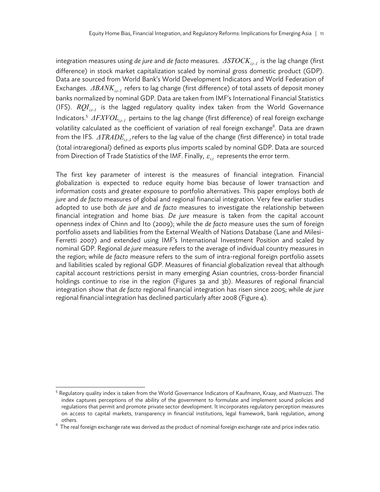integration measures using *de jure* and *de facto* measures.  $\triangle{STOCK}_{i,j}$  is the lag change (first difference) in stock market capitalization scaled by nominal gross domestic product (GDP). Data are sourced from World Bank's World Development Indicators and World Federation of Exchanges. *ΔBANK<sub>it-1</sub>* refers to lag change (first difference) of total assets of deposit money banks normalized by nominal GDP. Data are taken from IMF's International Financial Statistics (IFS).  $RQI_{i,t-1}$  is the lagged regulatory quality index taken from the World Governance Indicators.<sup>5</sup> *ΔFXVOL<sub>it-1</sub>* pertains to the lag change (first difference) of real foreign exchange volatility calculated as the coefficient of variation of real foreign exchange<sup>6</sup>. Data are drawn from the IFS.  $\triangle TRADE$ <sub>ita</sub> refers to the lag value of the change (first difference) in total trade (total intraregional) defined as exports plus imports scaled by nominal GDP. Data are sourced from Direction of Trade Statistics of the IMF. Finally,  $\varepsilon$ <sub>it</sub> represents the error term.

The first key parameter of interest is the measures of financial integration. Financial globalization is expected to reduce equity home bias because of lower transaction and information costs and greater exposure to portfolio alternatives. This paper employs both *de jure* and *de facto* measures of global and regional financial integration. Very few earlier studies adopted to use both *de jure* and *de facto* measures to investigate the relationship between financial integration and home bias. *De jure* measure is taken from the capital account openness index of Chinn and Ito (2009); while the *de facto* measure uses the sum of foreign portfolio assets and liabilities from the External Wealth of Nations Database (Lane and Milesi-Ferretti 2007) and extended using IMF's International Investment Position and scaled by nominal GDP. Regional *de jure* measure refers to the average of individual country measures in the region; while *de facto* measure refers to the sum of intra-regional foreign portfolio assets and liabilities scaled by regional GDP. Measures of financial globalization reveal that although capital account restrictions persist in many emerging Asian countries, cross-border financial holdings continue to rise in the region (Figures 3a and 3b). Measures of regional financial integration show that *de facto* regional financial integration has risen since 2005; while *de jure* regional financial integration has declined particularly after 2008 (Figure 4).

1

<sup>&</sup>lt;sup>5</sup> Regulatory quality index is taken from the World Governance Indicators of Kaufmann, Kraay, and Mastruzzi. The index captures perceptions of the ability of the government to formulate and implement sound policies and regulations that permit and promote private sector development. It incorporates regulatory perception measures on access to capital markets, transparency in financial institutions, legal framework, bank regulation, among

others.<br><sup>6</sup> The real foreign exchange rate was derived as the product of nominal foreign exchange rate and price index ratio.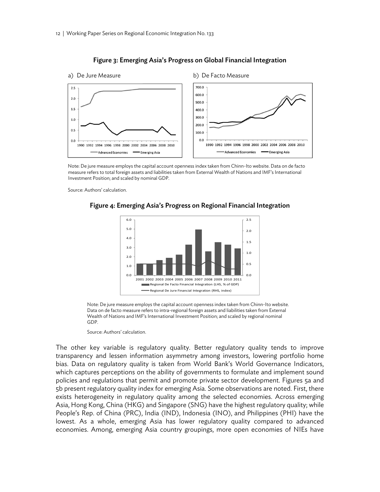

#### Figure 3: Emerging Asia's Progress on Global Financial Integration

Note: De jure measure employs the capital account openness index taken from Chinn-Ito website. Data on de facto measure refers to total foreign assets and liabilities taken from External Wealth of Nations and IMF's International Investment Position; and scaled by nominal GDP.

Source: Authors' calculation.

#### Figure 4: Emerging Asia's Progress on Regional Financial Integration



Note: De jure measure employs the capital account openness index taken from Chinn-Ito website. Data on de facto measure refers to intra-regional foreign assets and liabilities taken from External Wealth of Nations and IMF's International Investment Position; and scaled by regional nominal GDP.

Source: Authors' calculation.

The other key variable is regulatory quality. Better regulatory quality tends to improve transparency and lessen information asymmetry among investors, lowering portfolio home bias. Data on regulatory quality is taken from World Bank's World Governance Indicators, which captures perceptions on the ability of governments to formulate and implement sound policies and regulations that permit and promote private sector development. Figures 5a and 5b present regulatory quality index for emerging Asia. Some observations are noted. First, there exists heterogeneity in regulatory quality among the selected economies. Across emerging Asia, Hong Kong, China (HKG) and Singapore (SNG) have the highest regulatory quality; while People's Rep. of China (PRC), India (IND), Indonesia (INO), and Philippines (PHI) have the lowest. As a whole, emerging Asia has lower regulatory quality compared to advanced economies. Among, emerging Asia country groupings, more open economies of NIEs have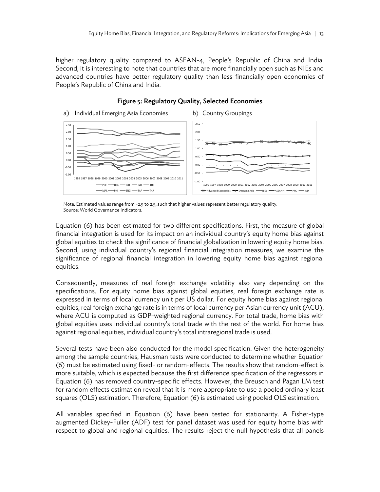higher regulatory quality compared to ASEAN-4, People's Republic of China and India. Second, it is interesting to note that countries that are more financially open such as NIEs and advanced countries have better regulatory quality than less financially open economies of People's Republic of China and India.



#### Figure 5: Regulatory Quality, Selected Economies

Note: Estimated values range from -2.5 to 2.5, such that higher values represent better regulatory quality. Source: World Governance Indicators.

Equation (6) has been estimated for two different specifications. First, the measure of global financial integration is used for its impact on an individual country's equity home bias against global equities to check the significance of financial globalization in lowering equity home bias. Second, using individual country's regional financial integration measures, we examine the significance of regional financial integration in lowering equity home bias against regional equities.

Consequently, measures of real foreign exchange volatility also vary depending on the specifications. For equity home bias against global equities, real foreign exchange rate is expressed in terms of local currency unit per US dollar. For equity home bias against regional equities, real foreign exchange rate is in terms of local currency per Asian currency unit (ACU), where ACU is computed as GDP-weighted regional currency. For total trade, home bias with global equities uses individual country's total trade with the rest of the world. For home bias against regional equities, individual country's total intraregional trade is used.

Several tests have been also conducted for the model specification. Given the heterogeneity among the sample countries, Hausman tests were conducted to determine whether Equation (6) must be estimated using fixed- or random-effects. The results show that random-effect is more suitable, which is expected because the first difference specification of the regressors in Equation (6) has removed country-specific effects. However, the Breusch and Pagan LM test for random effects estimation reveal that it is more appropriate to use a pooled ordinary least squares (OLS) estimation. Therefore, Equation (6) is estimated using pooled OLS estimation.

All variables specified in Equation (6) have been tested for stationarity. A Fisher-type augmented Dickey-Fuller (ADF) test for panel dataset was used for equity home bias with respect to global and regional equities. The results reject the null hypothesis that all panels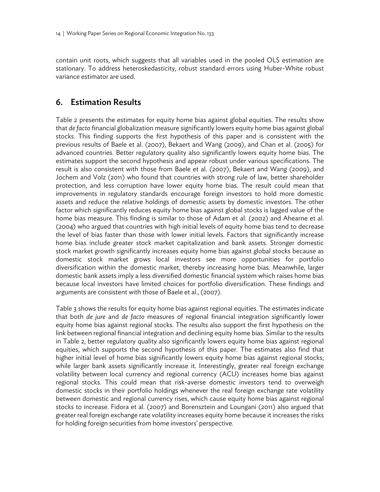contain unit roots, which suggests that all variables used in the pooled OLS estimation are stationary. To address heteroskedasticity, robust standard errors using Huber-White robust variance estimator are used.

## 6. Estimation Results

Table 2 presents the estimates for equity home bias against global equities. The results show that *de facto* financial globalization measure significantly lowers equity home bias against global stocks. This finding supports the first hypothesis of this paper and is consistent with the previous results of Baele et al. (2007), Bekaert and Wang (2009), and Chan et al. (2005) for advanced countries. Better regulatory quality also significantly lowers equity home bias. The estimates support the second hypothesis and appear robust under various specifications. The result is also consistent with those from Baele et al. (2007), Bekaert and Wang (2009), and Jochem and Volz (2011) who found that countries with strong rule of law, better shareholder protection, and less corruption have lower equity home bias. The result could mean that improvements in regulatory standards encourage foreign investors to hold more domestic assets and reduce the relative holdings of domestic assets by domestic investors. The other factor which significantly reduces equity home bias against global stocks is lagged value of the home bias measure. This finding is similar to those of Adam et al. (2002) and Ahearne et al. (2004) who argued that countries with high initial levels of equity home bias tend to decrease the level of bias faster than those with lower initial levels. Factors that significantly increase home bias include greater stock market capitalization and bank assets. Stronger domestic stock market growth significantly increases equity home bias against global stocks because as domestic stock market grows local investors see more opportunities for portfolio diversification within the domestic market, thereby increasing home bias. Meanwhile, larger domestic bank assets imply a less diversified domestic financial system which raises home bias because local investors have limited choices for portfolio diversification. These findings and arguments are consistent with those of Baele et al., (2007).

Table 3 shows the results for equity home bias against regional equities. The estimates indicate that both *de jure* and *de facto* measures of regional financial integration significantly lower equity home bias against regional stocks. The results also support the first hypothesis on the link between regional financial integration and declining equity home bias. Similar to the results in Table 2, better regulatory quality also significantly lowers equity home bias against regional equities, which supports the second hypothesis of this paper. The estimates also find that higher initial level of home bias significantly lowers equity home bias against regional stocks; while larger bank assets significantly increase it. Interestingly, greater real foreign exchange volatility between local currency and regional currency (ACU) increases home bias against regional stocks. This could mean that risk-averse domestic investors tend to overweigh domestic stocks in their portfolio holdings whenever the real foreign exchange rate volatility between domestic and regional currency rises, which cause equity home bias against regional stocks to increase. Fidora et al. (2007) and Borensztein and Loungani (2011) also argued that greater real foreign exchange rate volatility increases equity home because it increases the risks for holding foreign securities from home investors' perspective.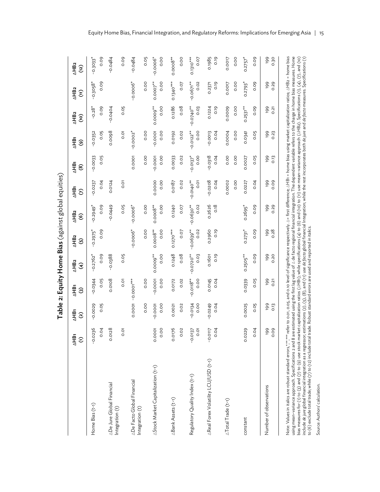|                                                                                                                                                                                                                                                                                                                                                                                                                                                                                                                                                                                                                                                                                                                                                | $\Delta H$ Bı<br>$\widehat{z}$ | $\Delta$ HB1<br>ે | $\Delta$ HB <sub>1</sub><br>ၜ | $\triangle HB2$<br>E           | $\Delta H B2$<br>ව             | AHB <sub>2</sub><br>ତି         | $\Delta$ HB<br>δ                                                                                                                                                                                                                                                                                                         | $\overline{AB}$<br>ම           | NH<br>AHB1<br>$\widehat{\mathbin{\odot}}$ | $\Delta H B_2$<br>၉          | $\triangle$ HB <sub>2</sub><br>Ξ | $\triangle$ HB <sub>2</sub><br><u>(૧</u> |
|------------------------------------------------------------------------------------------------------------------------------------------------------------------------------------------------------------------------------------------------------------------------------------------------------------------------------------------------------------------------------------------------------------------------------------------------------------------------------------------------------------------------------------------------------------------------------------------------------------------------------------------------------------------------------------------------------------------------------------------------|--------------------------------|-------------------|-------------------------------|--------------------------------|--------------------------------|--------------------------------|--------------------------------------------------------------------------------------------------------------------------------------------------------------------------------------------------------------------------------------------------------------------------------------------------------------------------|--------------------------------|-------------------------------------------|------------------------------|----------------------------------|------------------------------------------|
| Home Bias (t-1)                                                                                                                                                                                                                                                                                                                                                                                                                                                                                                                                                                                                                                                                                                                                | $-0.0236$<br>0.04              | 0.05<br>$-0.0029$ | $-0.0344$<br>0.05             | $-0.2762$ <sup>*</sup><br>0.09 | $-0.2975$ <sup>*</sup><br>0.09 | $-0.2949$ <sup>*</sup><br>0.09 | 0.04<br>$-0.0237$                                                                                                                                                                                                                                                                                                        | $-0.0033$<br>0.05              | 0.05<br>$-0.0352$                         | 0.09<br>$-0.28$ <sup>*</sup> | $-0.3058$ *<br>0.09              | $-0.3033$ <sup>*</sup><br>0.09           |
| ADe Jure Global Financial<br>Integration (t)                                                                                                                                                                                                                                                                                                                                                                                                                                                                                                                                                                                                                                                                                                   | 0.0128                         |                   | 0.0108                        | $-0.0388$                      |                                | $-0.0449$                      | 0.0124                                                                                                                                                                                                                                                                                                                   |                                | 0.0098                                    | $-0.0404$                    |                                  | $-0.0484$                                |
|                                                                                                                                                                                                                                                                                                                                                                                                                                                                                                                                                                                                                                                                                                                                                | 0.01                           |                   | <b>0.01</b>                   | 0.05                           |                                | 0.05                           | O.OT                                                                                                                                                                                                                                                                                                                     |                                | 0.01                                      | 0.05                         |                                  | 0.09                                     |
| ADe Facto Global Financial<br>Integration (t)                                                                                                                                                                                                                                                                                                                                                                                                                                                                                                                                                                                                                                                                                                  |                                | 0.0001            | $-0.0001***$                  |                                | $-0.0006*$                     | $-0.0006*$                     |                                                                                                                                                                                                                                                                                                                          | 0.0001                         | $-0.0002$ <sup>*</sup>                    |                              | $-0.0006*$                       | $-0.0484$                                |
|                                                                                                                                                                                                                                                                                                                                                                                                                                                                                                                                                                                                                                                                                                                                                |                                | 0.00              | 0.00                          |                                | 0.00                           | 0.00                           |                                                                                                                                                                                                                                                                                                                          | 0.00                           | 0.00                                      |                              | 0.00                             | 0.05                                     |
| AStock Market Capitalization (t-1)                                                                                                                                                                                                                                                                                                                                                                                                                                                                                                                                                                                                                                                                                                             | 0.00<br>0.0001                 | $-0.0001$<br>0.00 | $-0.0001$<br>0.00             | $0.0009***$<br>oo.o            | $0.0008***$<br>0.00            | $0.0008***$<br>0.00            | 0.0000<br>0.00                                                                                                                                                                                                                                                                                                           | 0.00<br>$-0.0001$              | $-0.0001$<br>0.00                         | $0.0009***$<br>0.00          | $0.0007***$<br>0.00              | $-0.0006*$<br>0.00                       |
| ABank Assets (t-1)                                                                                                                                                                                                                                                                                                                                                                                                                                                                                                                                                                                                                                                                                                                             | 0.0176                         | 0.0021            | 0.0172                        | 0.1248                         | 0.1270***                      | 0.1240                         | 0.0187                                                                                                                                                                                                                                                                                                                   | 0.0033                         | 0.0192                                    | 0.1286                       | $0.1340***$                      | $0.0008**$                               |
|                                                                                                                                                                                                                                                                                                                                                                                                                                                                                                                                                                                                                                                                                                                                                | 0.02                           | 0.02              | 0.02                          | 0.08                           | 0.07                           | 0.07                           | 0.02                                                                                                                                                                                                                                                                                                                     | 0.02                           | 0.02                                      | 0.08                         | 0.07                             | 0.00                                     |
| Regulatory Quality Index (t-1)                                                                                                                                                                                                                                                                                                                                                                                                                                                                                                                                                                                                                                                                                                                 | $-0.0137$                      | $-0.0134$<br>0.00 | $-0.0118***$<br>0.00          | $-0.0720***$<br>0.03           | $-0.0639***$<br>0.02           | $-0.0630***$<br>0.02           | $-0.0140**$<br>0.OI                                                                                                                                                                                                                                                                                                      | $-0.0137$ <sup>*</sup><br>0.00 | $-0.0122**$<br>0.00                       | $-0.0740**$<br>0.03          | $-0.0671***$<br>0.02             | 0.1310***<br>0.07                        |
| AReal Forex Volatility LCU/USD (t-1)                                                                                                                                                                                                                                                                                                                                                                                                                                                                                                                                                                                                                                                                                                           | $-0.0117$<br>0.04              | $-0.0249$<br>0.04 | 0.0145<br>0.04                | 0.19<br>0.1601                 | 0.2960<br>0.19                 | 0.2626<br>0.18                 | $-0.0208$<br>0.04                                                                                                                                                                                                                                                                                                        | $-0.0318$<br>0.04              | $-0.0013$<br>0.04                         | 0.1224<br>0.19               | 0.19<br>0.2371                   | 0.1985<br>0.19                           |
| ATotal Trade (t-1)                                                                                                                                                                                                                                                                                                                                                                                                                                                                                                                                                                                                                                                                                                                             |                                |                   |                               |                                |                                |                                | 0.0002                                                                                                                                                                                                                                                                                                                   | 0.00                           | 0.0004                                    | 0.0009                       | 0.0017                           | 0.0017                                   |
|                                                                                                                                                                                                                                                                                                                                                                                                                                                                                                                                                                                                                                                                                                                                                |                                |                   |                               |                                |                                |                                | 0.00                                                                                                                                                                                                                                                                                                                     | 0.00                           | 0.00                                      | 0.00                         | 0.00                             | 0.00                                     |
| constant                                                                                                                                                                                                                                                                                                                                                                                                                                                                                                                                                                                                                                                                                                                                       | 0.0229                         | 0.0025            | 0.0339                        | $0.2505***$                    | $0.2731$ <sup>*</sup>          | $0.2695$ <sup>*</sup>          | 0.0227                                                                                                                                                                                                                                                                                                                   | 0.0027                         | 0.0341                                    | $0.2531***$                  | $0.2793$ <sup>*</sup>            | $0.2757$ <sup>*</sup>                    |
|                                                                                                                                                                                                                                                                                                                                                                                                                                                                                                                                                                                                                                                                                                                                                | 0.04                           | 0.05              | 0.05                          | 0.09                           | 0.09                           | 0.09                           | 0.04                                                                                                                                                                                                                                                                                                                     | 0.05                           | 0.05                                      | 0.09                         | 0.09                             | 0.09                                     |
| Number of observations                                                                                                                                                                                                                                                                                                                                                                                                                                                                                                                                                                                                                                                                                                                         | ଦୁ ଦ<br><u>م</u><br>°.         | 199<br>0.13       | 199<br>0.21                   | 199<br>0.20                    | 199<br>0.28                    | <b>66L</b><br>0.29             | 199<br>0.09                                                                                                                                                                                                                                                                                                              | 199<br>0.13                    | 199<br>0.23                               | 199<br>0.21                  | <b>66L</b><br>0.29               | 199<br>0.30                              |
| Note: Values in italics are robust standard errors,**,**** refer to 0.01, 0.05, and 0.10 level of significance respectively. $\Delta=$ first difference; $\Delta$ HB1 = home bias using market capitalization ratios; $\Delta$ HB2 = home bi<br>include de jure global financial integration as a regressor; estimations (2), (5), (8), and (1)) use de facto global financial Integration; while the rest incorporates both de jure and de facto measures. Specifications (1<br>to (6) exclude total trade; while (7) to (12) include total trade. Robust standard errors are used and reported in italics.<br>using mean-variance approach. Specifications 2 and 8 are<br>bias measures for $(1)$ to $(3)$ and $(7)$ to $(9)$ use stock mark |                                |                   |                               |                                |                                |                                | estimated using the first lag value of A de facto regional financial integration. The dependent variable refers to the charge in home bias measures. Home<br>et capitalization ratios (ΔHB1), while specifications (4) to (6) and (10) to (11) use mean-variance approach (ΔHB2). Specifications (1), (4), (7), and (10) |                                |                                           |                              |                                  |                                          |

Source: Authors' calculation.

Source: Authors' calculation.

Table 2: Equity Home Bias (against global equities) **Table 2: Equity Home Bias** (against global equities)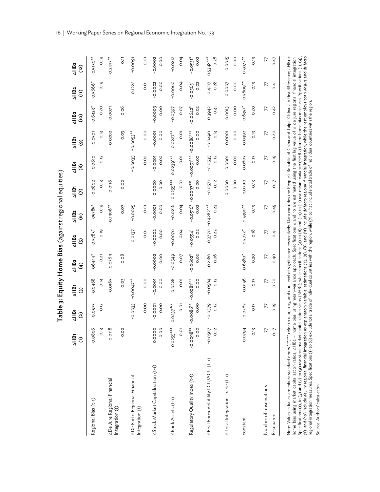Table 3: Equity Home Bias (against regional equities) Table 3: Equity Home Bias (against regional equities)

|                                                                                                                                                                                                                                                                                                                                                                                                                                                                                                                                                                                                                                  | $\Delta H$ B1                     | $\Delta H$ B1                                                                                                                                                                                                                                                                                                                                                                                                                                                                                | $\Delta$ HB <sub>1</sub> | $\triangle H B2$       | $\triangle H B2$       | $\triangle$ HB <sub>2</sub> | $\Delta$ HB             | ∆НВ                   | $\Delta H$ B1       | $\triangle H B2$       | $\triangle H B2$       | $\triangle H B2$       |
|----------------------------------------------------------------------------------------------------------------------------------------------------------------------------------------------------------------------------------------------------------------------------------------------------------------------------------------------------------------------------------------------------------------------------------------------------------------------------------------------------------------------------------------------------------------------------------------------------------------------------------|-----------------------------------|----------------------------------------------------------------------------------------------------------------------------------------------------------------------------------------------------------------------------------------------------------------------------------------------------------------------------------------------------------------------------------------------------------------------------------------------------------------------------------------------|--------------------------|------------------------|------------------------|-----------------------------|-------------------------|-----------------------|---------------------|------------------------|------------------------|------------------------|
|                                                                                                                                                                                                                                                                                                                                                                                                                                                                                                                                                                                                                                  | $\widehat{\epsilon}$              | $\hat{c}$                                                                                                                                                                                                                                                                                                                                                                                                                                                                                    | $\widehat{\circ}$        | E                      | 9                      | ၜ                           | $\widehat{\mathcal{C}}$ | ම                     | ၜ                   | ၉                      | $\widehat{\epsilon}$   | <u>(૧</u>              |
| Regional Bias (t-1)                                                                                                                                                                                                                                                                                                                                                                                                                                                                                                                                                                                                              | $-0.0806$                         | $-0.0575$                                                                                                                                                                                                                                                                                                                                                                                                                                                                                    | $-0.0468$                | $-06444$ <sup>*</sup>  | $-0.5785$ <sup>*</sup> | $-05785$ <sup>*</sup>       | 0.13                    | $-0.0610$             | $-0.0501$           | $-0.6423$ <sup>*</sup> | $-0.5666*$             | $-0.5150**$            |
|                                                                                                                                                                                                                                                                                                                                                                                                                                                                                                                                                                                                                                  | 0.13                              | 0.13                                                                                                                                                                                                                                                                                                                                                                                                                                                                                         | 0.14                     | 0.21                   | 0.19                   | 0.19                        | $-0.0802$               | 0.13                  | 0.13                | 0.20                   | 0.19                   | 0.19                   |
| ADe Jure Regional Financial<br>Integration (t)                                                                                                                                                                                                                                                                                                                                                                                                                                                                                                                                                                                   | $\frac{8}{10}$<br>o.or            |                                                                                                                                                                                                                                                                                                                                                                                                                                                                                              | $-0.0165$                | 0.0369                 |                        | -0.1996**                   | 0.0118                  |                       | $-0.0202$           | 70.007                 |                        | $-0.2433**$            |
|                                                                                                                                                                                                                                                                                                                                                                                                                                                                                                                                                                                                                                  | 0.02                              |                                                                                                                                                                                                                                                                                                                                                                                                                                                                                              | 0.03                     | 0.08                   |                        | 0.07                        | 0.02                    |                       | 0.03                | 0.06                   |                        | $\overline{C}$         |
| ADe Facto Regional Financial                                                                                                                                                                                                                                                                                                                                                                                                                                                                                                                                                                                                     |                                   | $-0.0033$                                                                                                                                                                                                                                                                                                                                                                                                                                                                                    | $-0.0047**$              |                        | 0.0137                 | $-0.0025$                   |                         | $-0.0035$             | $-0.0053***$        |                        | 0.1222                 | $-0.0091$              |
| Integration (t)                                                                                                                                                                                                                                                                                                                                                                                                                                                                                                                                                                                                                  |                                   | 0.00                                                                                                                                                                                                                                                                                                                                                                                                                                                                                         | 0.00                     |                        | o.or                   | 0.01                        |                         | 0.00                  | 0.00                |                        | 0.01                   | 0.01                   |
| AStock Market Capitalization (t-1)                                                                                                                                                                                                                                                                                                                                                                                                                                                                                                                                                                                               | 0.0000                            | $-0.0001$                                                                                                                                                                                                                                                                                                                                                                                                                                                                                    | $-0.0001$                | $-0.0002$              | $-0.0002$              | $-0.0001$                   | 0.0000                  | $-0.0001$             | $-0.0001$           | $-0.0003$              | $-0.0002$              | $-0.0002$              |
|                                                                                                                                                                                                                                                                                                                                                                                                                                                                                                                                                                                                                                  | 0.00                              | 0.00                                                                                                                                                                                                                                                                                                                                                                                                                                                                                         | 0.00                     | 0.00                   | 0.00                   | 0.00                        | 0.00                    | oo.o                  | 0.00                | oo.o                   | 0.00                   | 0.00                   |
| ABank Assets (t-1)                                                                                                                                                                                                                                                                                                                                                                                                                                                                                                                                                                                                               | $0.0255***$<br>5<br>$\dot{\circ}$ | $0.0237***$<br>0.OT                                                                                                                                                                                                                                                                                                                                                                                                                                                                          | 0.0228<br>ō.o            | $-0.0549$<br>0.07      | $-0.0076$<br>0.04      | $-0.0216$<br>0.04           | $0.0255***$<br>0.01     | 0.0239***<br>5<br>O.O | $0.0227***$<br>0.01 | $-0.0597$<br>0.07      | $-0.0060$<br>0.04      | $-0.0212$<br>0.04      |
| Regulatory Quality Index (t-1)                                                                                                                                                                                                                                                                                                                                                                                                                                                                                                                                                                                                   | $-0.0098**$                       | $-0.0086***$                                                                                                                                                                                                                                                                                                                                                                                                                                                                                 | $-0.0081***$             | $-0.0602$ <sup>*</sup> | $-0.0554$ <sup>*</sup> | $-0.0516*$                  | $-0.0097***$            | $-0.0091***$          | $-0.0086***$        | $-0.0642$ <sup>*</sup> | $-0.0565$ <sup>*</sup> | $-0.0531$ <sup>*</sup> |
|                                                                                                                                                                                                                                                                                                                                                                                                                                                                                                                                                                                                                                  | 0.00                              | 0.00                                                                                                                                                                                                                                                                                                                                                                                                                                                                                         | 0.00                     | 0.02                   | 0.02                   | 0.02                        | 0.00                    | 0.00                  | 0.00                | 0.02                   | 0.02                   | 0.02                   |
| AReal Forex Volatility LCU/ACU (t-1)                                                                                                                                                                                                                                                                                                                                                                                                                                                                                                                                                                                             | $-0.0567$                         | $-0.0579$                                                                                                                                                                                                                                                                                                                                                                                                                                                                                    | 0.13                     | 0.2186                 | 0.3770                 | $-0.4282***$                | 0.12                    | $-0.0535$             | 0.13                | 0.3942                 | 0.28                   | $0.5348***$            |
|                                                                                                                                                                                                                                                                                                                                                                                                                                                                                                                                                                                                                                  | 0.12                              | 0.12                                                                                                                                                                                                                                                                                                                                                                                                                                                                                         | $-0.0564$                | 0.26                   | 0.25                   | 0.23                        | $-0.0571$               | 0.12                  | $-0.0490$           | 0.31                   | 0.4217                 | 0.28                   |
| $\triangle$ Total Integration Trade (t-1)                                                                                                                                                                                                                                                                                                                                                                                                                                                                                                                                                                                        |                                   |                                                                                                                                                                                                                                                                                                                                                                                                                                                                                              |                          |                        |                        |                             | 0.0000<br>0.00          | 0.0001<br>0.00        | 0.0001<br>0.00      | 0.0013<br>0.00         | 0.0007<br>0.00         | 0.0015<br>0.00         |
| constant                                                                                                                                                                                                                                                                                                                                                                                                                                                                                                                                                                                                                         | 0.13                              | 0.13                                                                                                                                                                                                                                                                                                                                                                                                                                                                                         | 0.0156                   | $0.6380*$              | $0.5722$ <sup>*</sup>  | 0.5390**                    | 0.0790                  | 0.0603                | 0.0492              | $0.6351*$              | 0.5609**               | $0.5075***$            |
|                                                                                                                                                                                                                                                                                                                                                                                                                                                                                                                                                                                                                                  | 0.0794                            | 0.0567                                                                                                                                                                                                                                                                                                                                                                                                                                                                                       | 0.13                     | 0.20                   | 0.18                   | 0.19                        | 0.13                    | 0.13                  | 0.13                | 0.20                   | <b>Q1.0</b>            | 0.19                   |
| Number of observations                                                                                                                                                                                                                                                                                                                                                                                                                                                                                                                                                                                                           | 0.17                              | 0.19                                                                                                                                                                                                                                                                                                                                                                                                                                                                                         | 0.20                     | 0.40                   | 0.41                   | 0.45                        | 0.17                    | 0.19                  | 0.20                | 0.42                   | 0.41                   | 0.47                   |
| R-squared                                                                                                                                                                                                                                                                                                                                                                                                                                                                                                                                                                                                                        |                                   | 77                                                                                                                                                                                                                                                                                                                                                                                                                                                                                           | 77                       | 77                     | 77                     | 77                          | 77                      | 77                    | 77                  | 77                     | 77                     | 77                     |
| Specifications (1), to (3) and (7) to (9) use stock market capitalization ratios (ΔHBr); while specifications (4) to (6) and (10) to (11) use mean-variance (ΔHB2) for the home bias measures. Specifications (1), (4)<br>regional integration measures. Specifications (1) to (6) exclude total trade of individual countries with the region; while (7) to (12) include total trade of individual countries with the region.<br>Note: Values in italics are robust standard errors,*,**,***,*<br>(7), and (10) include <i>de jure regional financial integration</i><br>home bias using market capitalization ratios; AHB2 = 1 |                                   | as explanatory variable; estimations (2), (5), (8), and (1i) include $de$ facto regional financial Integration; while the rest employs both $de$ jure and $de$ facto<br>efer to 0.01, 0.05, and 0.10 level of significance respectively. Data excludes the People's Republic of China and Taipei,China. Δ = first difference; ΔHB1 =<br>nome bias using mean-variance approach. Specifications 4 and 10 are estimated using the first lag value of 4 de jure regional financial integration. |                          |                        |                        |                             |                         |                       |                     |                        |                        |                        |

Source: Authors' calculation.

Source: Authors' calculation.

16 | Working Paper Series on Regional Economic Integration No. 133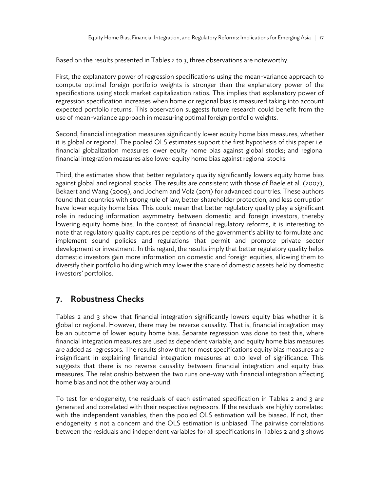Based on the results presented in Tables 2 to 3, three observations are noteworthy.

First, the explanatory power of regression specifications using the mean-variance approach to compute optimal foreign portfolio weights is stronger than the explanatory power of the specifications using stock market capitalization ratios. This implies that explanatory power of regression specification increases when home or regional bias is measured taking into account expected portfolio returns. This observation suggests future research could benefit from the use of mean-variance approach in measuring optimal foreign portfolio weights.

Second, financial integration measures significantly lower equity home bias measures, whether it is global or regional. The pooled OLS estimates support the first hypothesis of this paper i.e. financial globalization measures lower equity home bias against global stocks; and regional financial integration measures also lower equity home bias against regional stocks.

Third, the estimates show that better regulatory quality significantly lowers equity home bias against global and regional stocks. The results are consistent with those of Baele et al. (2007), Bekaert and Wang (2009), and Jochem and Volz (2011) for advanced countries. These authors found that countries with strong rule of law, better shareholder protection, and less corruption have lower equity home bias. This could mean that better regulatory quality play a significant role in reducing information asymmetry between domestic and foreign investors, thereby lowering equity home bias. In the context of financial regulatory reforms, it is interesting to note that regulatory quality captures perceptions of the government's ability to formulate and implement sound policies and regulations that permit and promote private sector development or investment. In this regard, the results imply that better regulatory quality helps domestic investors gain more information on domestic and foreign equities, allowing them to diversify their portfolio holding which may lower the share of domestic assets held by domestic investors' portfolios.

## 7. Robustness Checks

Tables 2 and 3 show that financial integration significantly lowers equity bias whether it is global or regional. However, there may be reverse causality. That is, financial integration may be an outcome of lower equity home bias. Separate regression was done to test this, where financial integration measures are used as dependent variable, and equity home bias measures are added as regressors. The results show that for most specifications equity bias measures are insignificant in explaining financial integration measures at 0.10 level of significance. This suggests that there is no reverse causality between financial integration and equity bias measures. The relationship between the two runs one-way with financial integration affecting home bias and not the other way around.

To test for endogeneity, the residuals of each estimated specification in Tables 2 and 3 are generated and correlated with their respective regressors. If the residuals are highly correlated with the independent variables, then the pooled OLS estimation will be biased. If not, then endogeneity is not a concern and the OLS estimation is unbiased. The pairwise correlations between the residuals and independent variables for all specifications in Tables 2 and 3 shows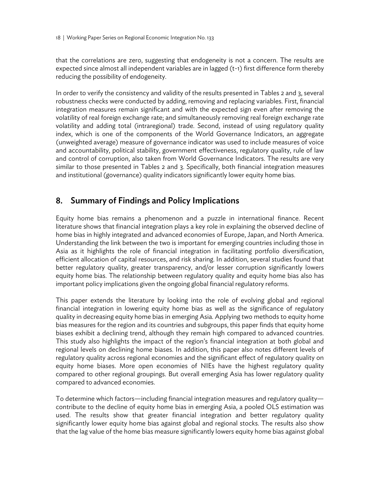that the correlations are zero, suggesting that endogeneity is not a concern. The results are expected since almost all independent variables are in lagged (t-1) first difference form thereby reducing the possibility of endogeneity.

In order to verify the consistency and validity of the results presented in Tables 2 and 3, several robustness checks were conducted by adding, removing and replacing variables. First, financial integration measures remain significant and with the expected sign even after removing the volatility of real foreign exchange rate; and simultaneously removing real foreign exchange rate volatility and adding total (intraregional) trade. Second, instead of using regulatory quality index, which is one of the components of the World Governance Indicators, an aggregate (unweighted average) measure of governance indicator was used to include measures of voice and accountability, political stability, government effectiveness, regulatory quality, rule of law and control of corruption, also taken from World Governance Indicators. The results are very similar to those presented in Tables 2 and 3. Specifically, both financial integration measures and institutional (governance) quality indicators significantly lower equity home bias.

## 8. Summary of Findings and Policy Implications

Equity home bias remains a phenomenon and a puzzle in international finance. Recent literature shows that financial integration plays a key role in explaining the observed decline of home bias in highly integrated and advanced economies of Europe, Japan, and North America. Understanding the link between the two is important for emerging countries including those in Asia as it highlights the role of financial integration in facilitating portfolio diversification, efficient allocation of capital resources, and risk sharing. In addition, several studies found that better regulatory quality, greater transparency, and/or lesser corruption significantly lowers equity home bias. The relationship between regulatory quality and equity home bias also has important policy implications given the ongoing global financial regulatory reforms.

This paper extends the literature by looking into the role of evolving global and regional financial integration in lowering equity home bias as well as the significance of regulatory quality in decreasing equity home bias in emerging Asia. Applying two methods to equity home bias measures for the region and its countries and subgroups, this paper finds that equity home biases exhibit a declining trend, although they remain high compared to advanced countries. This study also highlights the impact of the region's financial integration at both global and regional levels on declining home biases. In addition, this paper also notes different levels of regulatory quality across regional economies and the significant effect of regulatory quality on equity home biases. More open economies of NIEs have the highest regulatory quality compared to other regional groupings. But overall emerging Asia has lower regulatory quality compared to advanced economies.

To determine which factors—including financial integration measures and regulatory quality contribute to the decline of equity home bias in emerging Asia, a pooled OLS estimation was used. The results show that greater financial integration and better regulatory quality significantly lower equity home bias against global and regional stocks. The results also show that the lag value of the home bias measure significantly lowers equity home bias against global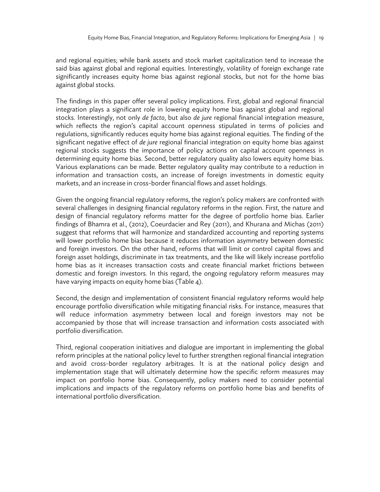and regional equities; while bank assets and stock market capitalization tend to increase the said bias against global and regional equities. Interestingly, volatility of foreign exchange rate significantly increases equity home bias against regional stocks, but not for the home bias against global stocks.

The findings in this paper offer several policy implications. First, global and regional financial integration plays a significant role in lowering equity home bias against global and regional stocks. Interestingly, not only *de facto*, but also *de jure* regional financial integration measure, which reflects the region's capital account openness stipulated in terms of policies and regulations, significantly reduces equity home bias against regional equities. The finding of the significant negative effect of *de jure* regional financial integration on equity home bias against regional stocks suggests the importance of policy actions on capital account openness in determining equity home bias. Second, better regulatory quality also lowers equity home bias. Various explanations can be made. Better regulatory quality may contribute to a reduction in information and transaction costs, an increase of foreign investments in domestic equity markets, and an increase in cross-border financial flows and asset holdings.

Given the ongoing financial regulatory reforms, the region's policy makers are confronted with several challenges in designing financial regulatory reforms in the region. First, the nature and design of financial regulatory reforms matter for the degree of portfolio home bias. Earlier findings of Bhamra et al., (2012), Coeurdacier and Rey (2011), and Khurana and Michas (2011) suggest that reforms that will harmonize and standardized accounting and reporting systems will lower portfolio home bias because it reduces information asymmetry between domestic and foreign investors. On the other hand, reforms that will limit or control capital flows and foreign asset holdings, discriminate in tax treatments, and the like will likely increase portfolio home bias as it increases transaction costs and create financial market frictions between domestic and foreign investors. In this regard, the ongoing regulatory reform measures may have varying impacts on equity home bias (Table 4).

Second, the design and implementation of consistent financial regulatory reforms would help encourage portfolio diversification while mitigating financial risks. For instance, measures that will reduce information asymmetry between local and foreign investors may not be accompanied by those that will increase transaction and information costs associated with portfolio diversification.

Third, regional cooperation initiatives and dialogue are important in implementing the global reform principles at the national policy level to further strengthen regional financial integration and avoid cross-border regulatory arbitrages. It is at the national policy design and implementation stage that will ultimately determine how the specific reform measures may impact on portfolio home bias. Consequently, policy makers need to consider potential implications and impacts of the regulatory reforms on portfolio home bias and benefits of international portfolio diversification.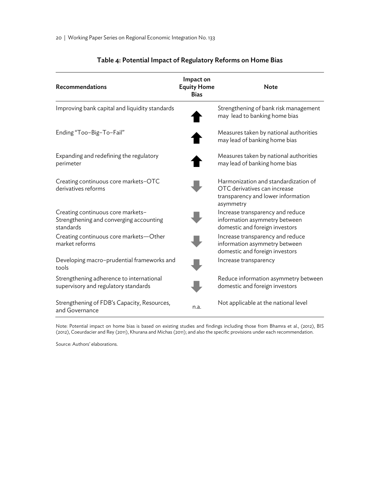| <b>Recommendations</b>                                                                    | Impact on<br><b>Equity Home</b><br><b>Bias</b> | <b>Note</b>                                                                                                             |
|-------------------------------------------------------------------------------------------|------------------------------------------------|-------------------------------------------------------------------------------------------------------------------------|
| Improving bank capital and liquidity standards                                            |                                                | Strengthening of bank risk management<br>may lead to banking home bias                                                  |
| Ending "Too-Big-To-Fail"                                                                  |                                                | Measures taken by national authorities<br>may lead of banking home bias                                                 |
| Expanding and redefining the regulatory<br>perimeter                                      |                                                | Measures taken by national authorities<br>may lead of banking home bias                                                 |
| Creating continuous core markets-OTC<br>derivatives reforms                               |                                                | Harmonization and standardization of<br>OTC derivatives can increase<br>transparency and lower information<br>asymmetry |
| Creating continuous core markets-<br>Strengthening and converging accounting<br>standards |                                                | Increase transparency and reduce<br>information asymmetry between<br>domestic and foreign investors                     |
| Creating continuous core markets-Other<br>market reforms                                  |                                                | Increase transparency and reduce<br>information asymmetry between<br>domestic and foreign investors                     |
| Developing macro-prudential frameworks and<br>tools                                       |                                                | Increase transparency                                                                                                   |
| Strengthening adherence to international<br>supervisory and regulatory standards          |                                                | Reduce information asymmetry between<br>domestic and foreign investors                                                  |
| Strengthening of FDB's Capacity, Resources,<br>and Governance                             | n.a.                                           | Not applicable at the national level                                                                                    |

## Table 4: Potential Impact of Regulatory Reforms on Home Bias

Note: Potential impact on home bias is based on existing studies and findings including those from Bhamra et al., (2012), BIS (2012), Coeurdacier and Rey (2011), Khurana and Michas (2011); and also the specific provisions under each recommendation.

Source: Authors' elaborations.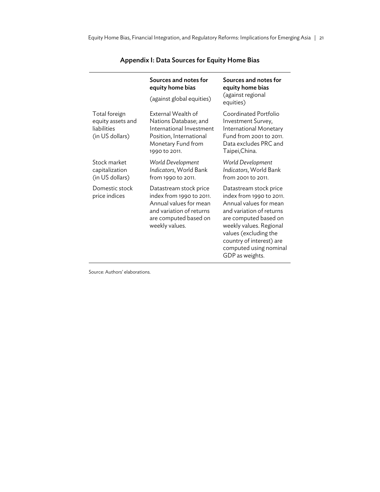|                                                                      | Sources and notes for<br>equity home bias<br>(against global equities)                                                                              | Sources and notes for<br>equity home bias<br>(against regional<br>equities)                                                                                                                                                                                    |
|----------------------------------------------------------------------|-----------------------------------------------------------------------------------------------------------------------------------------------------|----------------------------------------------------------------------------------------------------------------------------------------------------------------------------------------------------------------------------------------------------------------|
| Total foreign<br>equity assets and<br>liabilities<br>(in US dollars) | External Wealth of<br>Nations Database; and<br>International Investment<br>Position, International<br>Monetary Fund from<br>1990 to 2011.           | Coordinated Portfolio<br>Investment Survey,<br>International Monetary<br>Fund from 2001 to 2011.<br>Data excludes PRC and<br>Taipei, China.                                                                                                                    |
| Stock market<br>capitalization<br>(in US dollars)                    | World Development<br>Indicators, World Bank<br>from 1990 to 2011.                                                                                   | World Development<br>Indicators, World Bank<br>from 2001 to 2011.                                                                                                                                                                                              |
| Domestic stock<br>price indices                                      | Datastream stock price<br>index from 1990 to 2011.<br>Annual values for mean<br>and variation of returns<br>are computed based on<br>weekly values. | Datastream stock price<br>index from 1990 to 2011.<br>Annual values for mean<br>and variation of returns<br>are computed based on<br>weekly values. Regional<br>values (excluding the<br>country of interest) are<br>computed using nominal<br>GDP as weights. |

Appendix I: Data Sources for Equity Home Bias

Source: Authors' elaborations.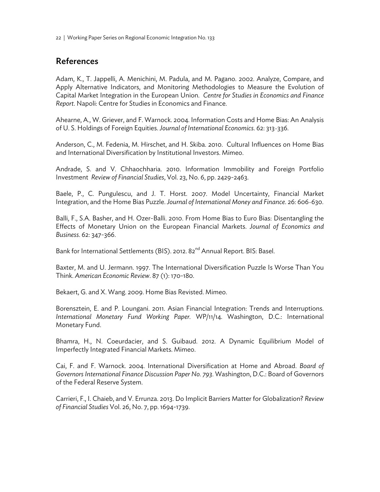22 | Working Paper Series on Regional Economic Integration No. 133

## References

Adam, K., T. Jappelli, A. Menichini, M. Padula, and M. Pagano. 2002. Analyze, Compare, and Apply Alternative Indicators, and Monitoring Methodologies to Measure the Evolution of Capital Market Integration in the European Union. *Centre for Studies in Economics and Finance Report*. Napoli: Centre for Studies in Economics and Finance.

Ahearne, A., W. Griever, and F. Warnock. 2004. Information Costs and Home Bias: An Analysis of U. S. Holdings of Foreign Equities. *Journal of International Economics*. 62: 313–336.

Anderson, C., M. Fedenia, M. Hirschet, and H. Skiba. 2010. Cultural Influences on Home Bias and International Diversification by Institutional Investors. Mimeo.

Andrade, S. and V. Chhaochharia. 2010. Information Immobility and Foreign Portfolio Investment *Review of Financial Studies*, Vol. 23, No. 6, pp. 2429-2463.

Baele, P., C. Pungulescu, and J. T. Horst. 2007. Model Uncertainty, Financial Market Integration, and the Home Bias Puzzle. *Journal of International Money and Finance*. 26: 606–630.

Balli, F., S.A. Basher, and H. Ozer-Balli. 2010. From Home Bias to Euro Bias: Disentangling the Effects of Monetary Union on the European Financial Markets. *Journal of Economics and Business*. 62: 347-366.

Bank for International Settlements (BIS). 2012. 82<sup>nd</sup> Annual Report. BIS: Basel.

Baxter, M. and U. Jermann. 1997. The International Diversification Puzzle Is Worse Than You Think. *American Economic Review*. 87 (1): 170-180.

Bekaert, G. and X. Wang. 2009. Home Bias Revisted. Mimeo.

Borensztein, E. and P. Loungani. 2011. Asian Financial Integration: Trends and Interruptions. *International Monetary Fund Working Paper.* WP/11/14. Washington, D.C.: International Monetary Fund.

Bhamra, H., N. Coeurdacier, and S. Guibaud. 2012. A Dynamic Equilibrium Model of Imperfectly Integrated Financial Markets. Mimeo.

Cai, F. and F. Warnock. 2004. International Diversification at Home and Abroad. *Board of Governors International Finance Discussion Paper No. 793*. Washington, D.C.: Board of Governors of the Federal Reserve System.

Carrieri, F., I. Chaieb, and V. Errunza. 2013. Do Implicit Barriers Matter for Globalization? *Review of Financial Studies* Vol. 26, No. 7, pp. 1694-1739.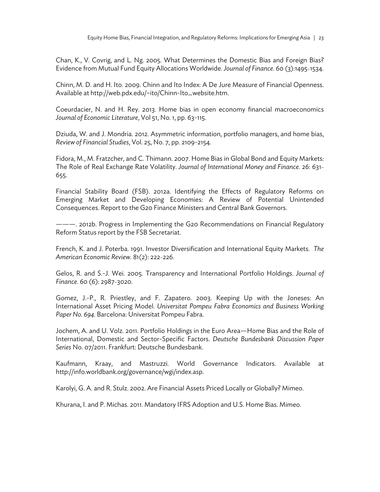Chan, K., V. Covrig, and L. Ng. 2005. What Determines the Domestic Bias and Foreign Bias? Evidence from Mutual Fund Equity Allocations Worldwide. *Journal of Finance*. 60 (3):1495–1534.

Chinn, M. D. and H. Ito. 2009. Chinn and Ito Index: A De Jure Measure of Financial Openness. Available at http://web.pdx.edu/~ito/Chinn-Ito\_website.htm.

Coeurdacier, N. and H. Rey. 2013. Home bias in open economy financial macroeconomics *Journal of Economic Literature*, Vol 51, No. 1, pp. 63-115.

Dziuda, W. and J. Mondria. 2012. Asymmetric information, portfolio managers, and home bias, *Review of Financial Studies*, Vol. 25, No. 7, pp. 2109-2154.

Fidora, M., M. Fratzcher, and C. Thimann. 2007. Home Bias in Global Bond and Equity Markets: The Role of Real Exchange Rate Volatility. *Journal of International Money and Finance*. 26: 631– 655.

Financial Stability Board (FSB). 2012a. Identifying the Effects of Regulatory Reforms on Emerging Market and Developing Economies: A Review of Potential Unintended Consequences. Report to the G20 Finance Ministers and Central Bank Governors.

———. 2012b. Progress in Implementing the G20 Recommendations on Financial Regulatory Reform Status report by the FSB Secretariat.

French, K. and J. Poterba. 1991. Investor Diversification and International Equity Markets. *The American Economic Review.* 81(2): 222–226.

Gelos, R. and S.-J. Wei. 2005. Transparency and International Portfolio Holdings. *Journal of Finance*. 60 (6): 2987–3020.

Gomez, J.-P., R. Priestley, and F. Zapatero. 2003. Keeping Up with the Joneses: An International Asset Pricing Model. *Universitat Pompeu Fabra Economics and Business Working Paper No. 694*. Barcelona: Universitat Pompeu Fabra.

Jochem, A. and U. Volz. 2011. Portfolio Holdings in the Euro Area—Home Bias and the Role of International, Domestic and Sector-Specific Factors. *Deutsche Bundesbank Discussion Paper Series* No. 07/2011. Frankfurt: Deutsche Bundesbank.

Kaufmann, Kraay, and Mastruzzi. World Governance Indicators. Available at http://info.worldbank.org/governance/wgi/index.asp.

Karolyi, G. A. and R. Stulz. 2002. Are Financial Assets Priced Locally or Globally? Mimeo.

Khurana, I. and P. Michas. 2011. Mandatory IFRS Adoption and U.S. Home Bias. Mimeo.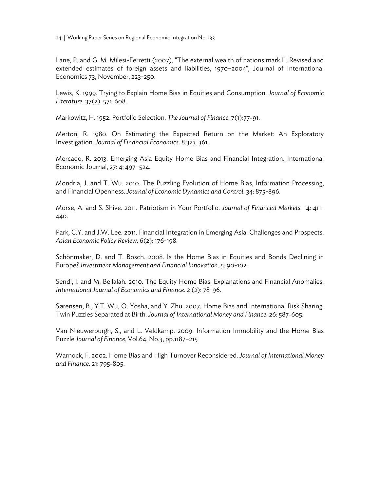Lane, P. and G. M. Milesi-Ferretti (2007), "The external wealth of nations mark II: Revised and extended estimates of foreign assets and liabilities, 1970–2004", Journal of International Economics 73, November, 223-250.

Lewis, K. 1999. Trying to Explain Home Bias in Equities and Consumption. *Journal of Economic Literature*. 37(2): 571–608.

Markowitz, H. 1952. Portfolio Selection. *The Journal of Finance*. 7(1):77–91.

Merton, R. 1980. On Estimating the Expected Return on the Market: An Exploratory Investigation. *Journal of Financial Economics*. 8:323–361.

Mercado, R. 2013. Emerging Asia Equity Home Bias and Financial Integration. International Economic Journal, 27: 4; 497–524.

Mondria, J. and T. Wu. 2010. The Puzzling Evolution of Home Bias, Information Processing, and Financial Openness. *Journal of Economic Dynamics and Control*. 34: 875-896.

Morse, A. and S. Shive. 2011. Patriotism in Your Portfolio. *Journal of Financial Markets.* 14: 411- 440.

Park, C.Y. and J.W. Lee. 2011. Financial Integration in Emerging Asia: Challenges and Prospects. *Asian Economic Policy Review*. 6(2): 176-198.

Schönmaker, D. and T. Bosch. 2008. Is the Home Bias in Equities and Bonds Declining in Europe? *Investment Management and Financial Innovation*. 5: 90-102.

Sendi, I. and M. Bellalah. 2010. The Equity Home Bias: Explanations and Financial Anomalies. *International Journal of Economics and Finance*. 2 (2): 78-96.

Sørensen, B., Y.T. Wu, O. Yosha, and Y. Zhu. 2007. Home Bias and International Risk Sharing: Twin Puzzles Separated at Birth. *Journal of International Money and Finance*. 26: 587–605.

Van Nieuwerburgh, S., and L. Veldkamp. 2009. Information Immobility and the Home Bias Puzzle *Journal of Finance*, Vol.64, No.3, pp.1187–215

Warnock, F. 2002. Home Bias and High Turnover Reconsidered. *Journal of International Money and Finance*. 21: 795–805.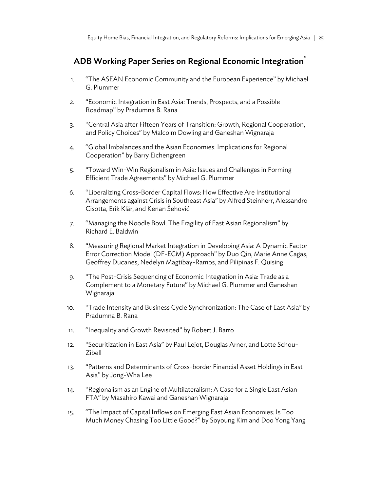## ADB Working Paper Series on Regional Economic Integration<sup>\*</sup>

- 1. "The ASEAN Economic Community and the European Experience" by Michael G. Plummer
- 2. "Economic Integration in East Asia: Trends, Prospects, and a Possible Roadmap" by Pradumna B. Rana
- 3. "Central Asia after Fifteen Years of Transition: Growth, Regional Cooperation, and Policy Choices" by Malcolm Dowling and Ganeshan Wignaraja
- 4. "Global Imbalances and the Asian Economies: Implications for Regional Cooperation" by Barry Eichengreen
- 5. "Toward Win-Win Regionalism in Asia: Issues and Challenges in Forming Efficient Trade Agreements" by Michael G. Plummer
- 6. "Liberalizing Cross-Border Capital Flows: How Effective Are Institutional Arrangements against Crisis in Southeast Asia" by Alfred Steinherr, Alessandro Cisotta, Erik Klär, and Kenan Šehović
- 7. "Managing the Noodle Bowl: The Fragility of East Asian Regionalism" by Richard E. Baldwin
- 8. "Measuring Regional Market Integration in Developing Asia: A Dynamic Factor Error Correction Model (DF-ECM) Approach" by Duo Qin, Marie Anne Cagas, Geoffrey Ducanes, Nedelyn Magtibay-Ramos, and Pilipinas F. Quising
- 9. "The Post-Crisis Sequencing of Economic Integration in Asia: Trade as a Complement to a Monetary Future" by Michael G. Plummer and Ganeshan Wignaraja
- 10. "Trade Intensity and Business Cycle Synchronization: The Case of East Asia" by Pradumna B. Rana
- 11. "Inequality and Growth Revisited" by Robert J. Barro
- 12. "Securitization in East Asia" by Paul Lejot, Douglas Arner, and Lotte Schou-Zibell
- 13. "Patterns and Determinants of Cross-border Financial Asset Holdings in East Asia" by Jong-Wha Lee
- 14. "Regionalism as an Engine of Multilateralism: A Case for a Single East Asian FTA" by Masahiro Kawai and Ganeshan Wignaraja
- 15. "The Impact of Capital Inflows on Emerging East Asian Economies: Is Too Much Money Chasing Too Little Good?" by Soyoung Kim and Doo Yong Yang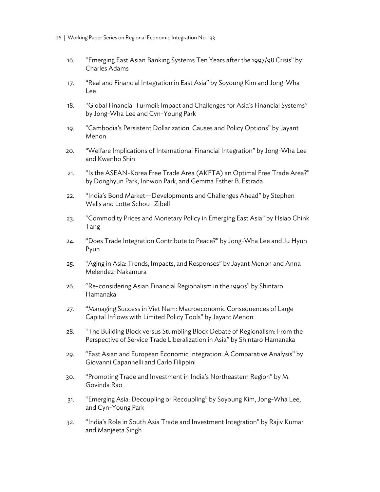- 16. "Emerging East Asian Banking Systems Ten Years after the 1997/98 Crisis" by Charles Adams
- 17. "Real and Financial Integration in East Asia" by Soyoung Kim and Jong-Wha Lee
- 18. "Global Financial Turmoil: Impact and Challenges for Asia's Financial Systems" by Jong-Wha Lee and Cyn-Young Park
- 19. "Cambodia's Persistent Dollarization: Causes and Policy Options" by Jayant Menon
- 20. "Welfare Implications of International Financial Integration" by Jong-Wha Lee and Kwanho Shin
- 21. "Is the ASEAN-Korea Free Trade Area (AKFTA) an Optimal Free Trade Area?" by Donghyun Park, Innwon Park, and Gemma Esther B. Estrada
- 22. "India's Bond Market—Developments and Challenges Ahead" by Stephen Wells and Lotte Schou- Zibell
- 23. "Commodity Prices and Monetary Policy in Emerging East Asia" by Hsiao Chink Tang
- 24. "Does Trade Integration Contribute to Peace?" by Jong-Wha Lee and Ju Hyun Pyun
- 25. "Aging in Asia: Trends, Impacts, and Responses" by Jayant Menon and Anna Melendez-Nakamura
- 26. "Re-considering Asian Financial Regionalism in the 1990s" by Shintaro Hamanaka
- 27. "Managing Success in Viet Nam: Macroeconomic Consequences of Large Capital Inflows with Limited Policy Tools" by Jayant Menon
- 28. "The Building Block versus Stumbling Block Debate of Regionalism: From the Perspective of Service Trade Liberalization in Asia" by Shintaro Hamanaka
- 29. "East Asian and European Economic Integration: A Comparative Analysis" by Giovanni Capannelli and Carlo Filippini
- 30. "Promoting Trade and Investment in India's Northeastern Region" by M. Govinda Rao
- 31. "Emerging Asia: Decoupling or Recoupling" by Soyoung Kim, Jong-Wha Lee, and Cyn-Young Park
- 32. "India's Role in South Asia Trade and Investment Integration" by Rajiv Kumar and Manjeeta Singh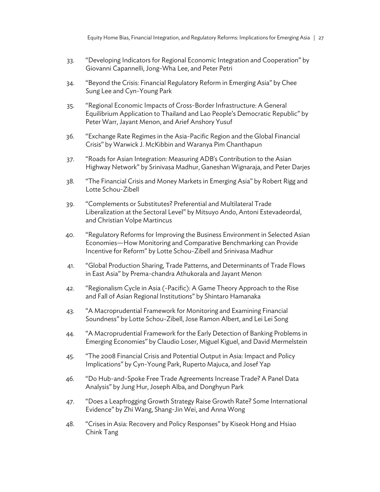- 33. "Developing Indicators for Regional Economic Integration and Cooperation" by Giovanni Capannelli, Jong-Wha Lee, and Peter Petri
- 34. "Beyond the Crisis: Financial Regulatory Reform in Emerging Asia" by Chee Sung Lee and Cyn-Young Park
- 35. "Regional Economic Impacts of Cross-Border Infrastructure: A General Equilibrium Application to Thailand and Lao People's Democratic Republic" by Peter Warr, Jayant Menon, and Arief Anshory Yusuf
- 36. "Exchange Rate Regimes in the Asia-Pacific Region and the Global Financial Crisis" by Warwick J. McKibbin and Waranya Pim Chanthapun
- 37. "Roads for Asian Integration: Measuring ADB's Contribution to the Asian Highway Network" by Srinivasa Madhur, Ganeshan Wignaraja, and Peter Darjes
- 38. "The Financial Crisis and Money Markets in Emerging Asia" by Robert Rigg and Lotte Schou-Zibell
- 39. "Complements or Substitutes? Preferential and Multilateral Trade Liberalization at the Sectoral Level" by Mitsuyo Ando, Antoni Estevadeordal, and Christian Volpe Martincus
- 40. "Regulatory Reforms for Improving the Business Environment in Selected Asian Economies—How Monitoring and Comparative Benchmarking can Provide Incentive for Reform" by Lotte Schou-Zibell and Srinivasa Madhur
- 41. "Global Production Sharing, Trade Patterns, and Determinants of Trade Flows in East Asia" by Prema-chandra Athukorala and Jayant Menon
- 42. "Regionalism Cycle in Asia (-Pacific): A Game Theory Approach to the Rise and Fall of Asian Regional Institutions" by Shintaro Hamanaka
- 43. "A Macroprudential Framework for Monitoring and Examining Financial Soundness" by Lotte Schou-Zibell, Jose Ramon Albert, and Lei Lei Song
- 44. "A Macroprudential Framework for the Early Detection of Banking Problems in Emerging Economies" by Claudio Loser, Miguel Kiguel, and David Mermelstein
- 45. "The 2008 Financial Crisis and Potential Output in Asia: Impact and Policy Implications" by Cyn-Young Park, Ruperto Majuca, and Josef Yap
- 46. "Do Hub-and-Spoke Free Trade Agreements Increase Trade? A Panel Data Analysis" by Jung Hur, Joseph Alba, and Donghyun Park
- 47. "Does a Leapfrogging Growth Strategy Raise Growth Rate? Some International Evidence" by Zhi Wang, Shang-Jin Wei, and Anna Wong
- 48. "Crises in Asia: Recovery and Policy Responses" by Kiseok Hong and Hsiao Chink Tang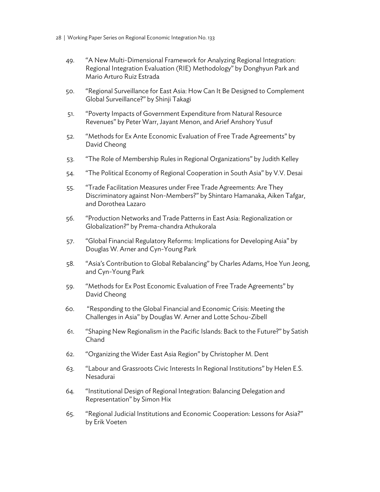- 49. "A New Multi-Dimensional Framework for Analyzing Regional Integration: Regional Integration Evaluation (RIE) Methodology" by Donghyun Park and Mario Arturo Ruiz Estrada
- 50. "Regional Surveillance for East Asia: How Can It Be Designed to Complement Global Surveillance?" by Shinji Takagi
- 51. "Poverty Impacts of Government Expenditure from Natural Resource Revenues" by Peter Warr, Jayant Menon, and Arief Anshory Yusuf
- 52. "Methods for Ex Ante Economic Evaluation of Free Trade Agreements" by David Cheong
- 53. "The Role of Membership Rules in Regional Organizations" by Judith Kelley
- 54. "The Political Economy of Regional Cooperation in South Asia" by V.V. Desai
- 55. "Trade Facilitation Measures under Free Trade Agreements: Are They Discriminatory against Non-Members?" by Shintaro Hamanaka, Aiken Tafgar, and Dorothea Lazaro
- 56. "Production Networks and Trade Patterns in East Asia: Regionalization or Globalization?" by Prema-chandra Athukorala
- 57. "Global Financial Regulatory Reforms: Implications for Developing Asia" by Douglas W. Arner and Cyn-Young Park
- 58. "Asia's Contribution to Global Rebalancing" by Charles Adams, Hoe Yun Jeong, and Cyn-Young Park
- 59. "Methods for Ex Post Economic Evaluation of Free Trade Agreements" by David Cheong
- 60. "Responding to the Global Financial and Economic Crisis: Meeting the Challenges in Asia" by Douglas W. Arner and Lotte Schou-Zibell
- 61. "Shaping New Regionalism in the Pacific Islands: Back to the Future?" by Satish Chand
- 62. "Organizing the Wider East Asia Region" by Christopher M. Dent
- 63. "Labour and Grassroots Civic Interests In Regional Institutions" by Helen E.S. Nesadurai
- 64. "Institutional Design of Regional Integration: Balancing Delegation and Representation" by Simon Hix
- 65. "Regional Judicial Institutions and Economic Cooperation: Lessons for Asia?" by Erik Voeten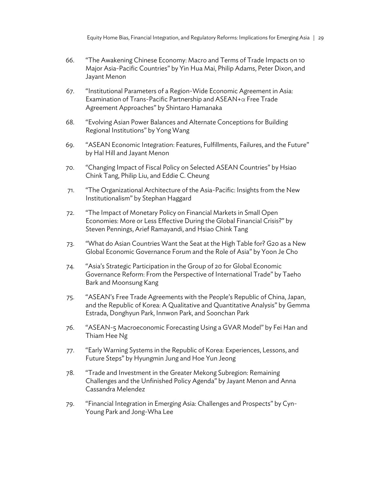- 66. "The Awakening Chinese Economy: Macro and Terms of Trade Impacts on 10 Major Asia-Pacific Countries" by Yin Hua Mai, Philip Adams, Peter Dixon, and Jayant Menon
- 67. "Institutional Parameters of a Region-Wide Economic Agreement in Asia: Examination of Trans-Pacific Partnership and ASEAN+α Free Trade Agreement Approaches" by Shintaro Hamanaka
- 68. "Evolving Asian Power Balances and Alternate Conceptions for Building Regional Institutions" by Yong Wang
- 69. "ASEAN Economic Integration: Features, Fulfillments, Failures, and the Future" by Hal Hill and Jayant Menon
- 70. "Changing Impact of Fiscal Policy on Selected ASEAN Countries" by Hsiao Chink Tang, Philip Liu, and Eddie C. Cheung
- 71. "The Organizational Architecture of the Asia-Pacific: Insights from the New Institutionalism" by Stephan Haggard
- 72. "The Impact of Monetary Policy on Financial Markets in Small Open Economies: More or Less Effective During the Global Financial Crisis?" by Steven Pennings, Arief Ramayandi, and Hsiao Chink Tang
- 73. "What do Asian Countries Want the Seat at the High Table for? G20 as a New Global Economic Governance Forum and the Role of Asia" by Yoon Je Cho
- 74. "Asia's Strategic Participation in the Group of 20 for Global Economic Governance Reform: From the Perspective of International Trade" by Taeho Bark and Moonsung Kang
- 75. "ASEAN's Free Trade Agreements with the People's Republic of China, Japan, and the Republic of Korea: A Qualitative and Quantitative Analysis" by Gemma Estrada, Donghyun Park, Innwon Park, and Soonchan Park
- 76. "ASEAN-5 Macroeconomic Forecasting Using a GVAR Model" by Fei Han and Thiam Hee Ng
- 77. "Early Warning Systems in the Republic of Korea: Experiences, Lessons, and Future Steps" by Hyungmin Jung and Hoe Yun Jeong
- 78. "Trade and Investment in the Greater Mekong Subregion: Remaining Challenges and the Unfinished Policy Agenda" by Jayant Menon and Anna Cassandra Melendez
- 79. "Financial Integration in Emerging Asia: Challenges and Prospects" by Cyn-Young Park and Jong-Wha Lee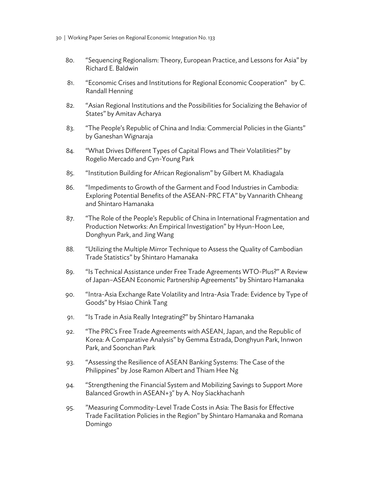- 80. "Sequencing Regionalism: Theory, European Practice, and Lessons for Asia" by Richard E. Baldwin
- 81. "Economic Crises and Institutions for Regional Economic Cooperation" by C. Randall Henning
- 82. "Asian Regional Institutions and the Possibilities for Socializing the Behavior of States" by Amitav Acharya
- 83. "The People's Republic of China and India: Commercial Policies in the Giants" by Ganeshan Wignaraja
- 84. "What Drives Different Types of Capital Flows and Their Volatilities?" by Rogelio Mercado and Cyn-Young Park
- 85. "Institution Building for African Regionalism" by Gilbert M. Khadiagala
- 86. "Impediments to Growth of the Garment and Food Industries in Cambodia: Exploring Potential Benefits of the ASEAN-PRC FTA" by Vannarith Chheang and Shintaro Hamanaka
- 87. "The Role of the People's Republic of China in International Fragmentation and Production Networks: An Empirical Investigation" by Hyun-Hoon Lee, Donghyun Park, and Jing Wang
- 88. "Utilizing the Multiple Mirror Technique to Assess the Quality of Cambodian Trade Statistics" by Shintaro Hamanaka
- 89. "Is Technical Assistance under Free Trade Agreements WTO-Plus?" A Review of Japan–ASEAN Economic Partnership Agreements" by Shintaro Hamanaka
- 90. "Intra-Asia Exchange Rate Volatility and Intra-Asia Trade: Evidence by Type of Goods" by Hsiao Chink Tang
- 91. "Is Trade in Asia Really Integrating?" by Shintaro Hamanaka
- 92. "The PRC's Free Trade Agreements with ASEAN, Japan, and the Republic of Korea: A Comparative Analysis" by Gemma Estrada, Donghyun Park, Innwon Park, and Soonchan Park
- 93. "Assessing the Resilience of ASEAN Banking Systems: The Case of the Philippines" by Jose Ramon Albert and Thiam Hee Ng
- 94. "Strengthening the Financial System and Mobilizing Savings to Support More Balanced Growth in ASEAN+3" by A. Noy Siackhachanh
- 95. "Measuring Commodity-Level Trade Costs in Asia: The Basis for Effective Trade Facilitation Policies in the Region" by Shintaro Hamanaka and Romana Domingo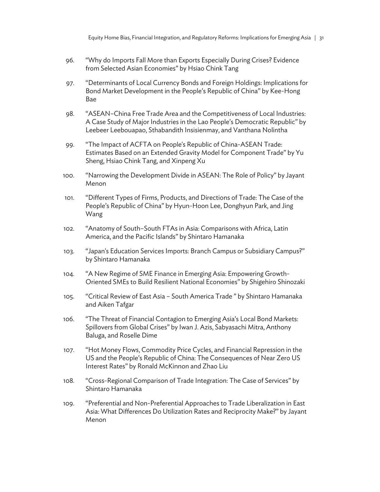- 96. "Why do Imports Fall More than Exports Especially During Crises? Evidence from Selected Asian Economies" by Hsiao Chink Tang
- 97. "Determinants of Local Currency Bonds and Foreign Holdings: Implications for Bond Market Development in the People's Republic of China" by Kee-Hong Bae
- 98. "ASEAN–China Free Trade Area and the Competitiveness of Local Industries: A Case Study of Major Industries in the Lao People's Democratic Republic" by Leebeer Leebouapao, Sthabandith Insisienmay, and Vanthana Nolintha
- 99. "The Impact of ACFTA on People's Republic of China-ASEAN Trade: Estimates Based on an Extended Gravity Model for Component Trade" by Yu Sheng, Hsiao Chink Tang, and Xinpeng Xu
- 100. "Narrowing the Development Divide in ASEAN: The Role of Policy" by Jayant Menon
- 101. "Different Types of Firms, Products, and Directions of Trade: The Case of the People's Republic of China" by Hyun-Hoon Lee, Donghyun Park, and Jing Wang
- 102. "Anatomy of South–South FTAs in Asia: Comparisons with Africa, Latin America, and the Pacific Islands" by Shintaro Hamanaka
- 103. "Japan's Education Services Imports: Branch Campus or Subsidiary Campus?" by Shintaro Hamanaka
- 104. "A New Regime of SME Finance in Emerging Asia: Empowering Growth-Oriented SMEs to Build Resilient National Economies" by Shigehiro Shinozaki
- 105. "Critical Review of East Asia South America Trade " by Shintaro Hamanaka and Aiken Tafgar
- 106. "The Threat of Financial Contagion to Emerging Asia's Local Bond Markets: Spillovers from Global Crises" by Iwan J. Azis, Sabyasachi Mitra, Anthony Baluga, and Roselle Dime
- 107. "Hot Money Flows, Commodity Price Cycles, and Financial Repression in the US and the People's Republic of China: The Consequences of Near Zero US Interest Rates" by Ronald McKinnon and Zhao Liu
- 108. "Cross-Regional Comparison of Trade Integration: The Case of Services" by Shintaro Hamanaka
- 109. "Preferential and Non-Preferential Approaches to Trade Liberalization in East Asia: What Differences Do Utilization Rates and Reciprocity Make?" by Jayant Menon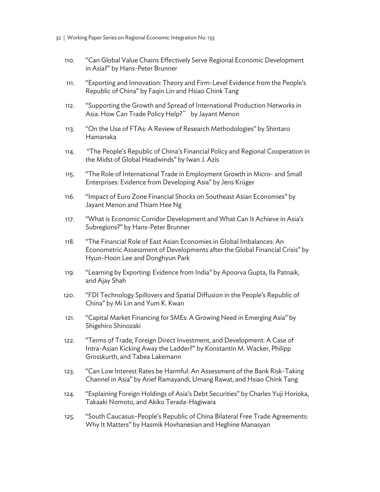- 110. "Can Global Value Chains Effectively Serve Regional Economic Development in Asia?" by Hans-Peter Brunner
- 111. "Exporting and Innovation: Theory and Firm-Level Evidence from the People's Republic of China" by Faqin Lin and Hsiao Chink Tang
- 112. "Supporting the Growth and Spread of International Production Networks in Asia: How Can Trade Policy Help?" by Jayant Menon
- 113. "On the Use of FTAs: A Review of Research Methodologies" by Shintaro Hamanaka
- 114. "The People's Republic of China's Financial Policy and Regional Cooperation in the Midst of Global Headwinds" by Iwan J. Azis
- 115. "The Role of International Trade in Employment Growth in Micro- and Small Enterprises: Evidence from Developing Asia" by Jens Krüger
- 116. "Impact of Euro Zone Financial Shocks on Southeast Asian Economies" by Jayant Menon and Thiam Hee Ng
- 117. "What is Economic Corridor Development and What Can It Achieve in Asia's Subregions?" by Hans-Peter Brunner
- 118. "The Financial Role of East Asian Economies in Global Imbalances: An Econometric Assessment of Developments after the Global Financial Crisis" by Hyun-Hoon Lee and Donghyun Park
- 119. "Learning by Exporting: Evidence from India" by Apoorva Gupta, Ila Patnaik, and Ajay Shah
- 120. "FDI Technology Spillovers and Spatial Diffusion in the People's Republic of China" by Mi Lin and Yum K. Kwan
- 121. "Capital Market Financing for SMEs: A Growing Need in Emerging Asia" by Shigehiro Shinozaki
- 122. "Terms of Trade, Foreign Direct Investment, and Development: A Case of Intra-Asian Kicking Away the Ladder?" by Konstantin M. Wacker, Philipp Grosskurth, and Tabea Lakemann
- 123. "Can Low Interest Rates be Harmful: An Assessment of the Bank Risk-Taking Channel in Asia" by Arief Ramayandi, Umang Rawat, and Hsiao Chink Tang
- 124. "Explaining Foreign Holdings of Asia's Debt Securities" by Charles Yuji Horioka, Takaaki Nomoto, and Akiko Terada-Hagiwara
- 125. "South Caucasus–People's Republic of China Bilateral Free Trade Agreements: Why It Matters" by Hasmik Hovhanesian and Heghine Manasyan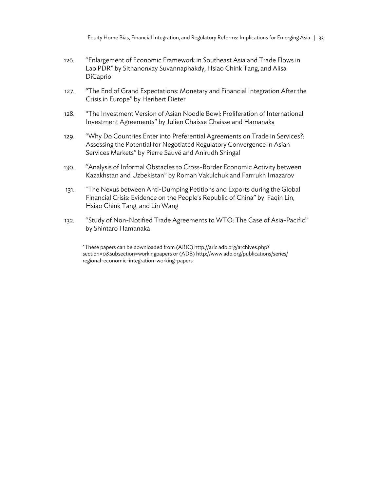- 126. "Enlargement of Economic Framework in Southeast Asia and Trade Flows in Lao PDR" by Sithanonxay Suvannaphakdy, Hsiao Chink Tang, and Alisa DiCaprio
- 127. "The End of Grand Expectations: Monetary and Financial Integration After the Crisis in Europe" by Heribert Dieter
- 128. "The Investment Version of Asian Noodle Bowl: Proliferation of International Investment Agreements" by Julien Chaisse Chaisse and Hamanaka
- 129. "Why Do Countries Enter into Preferential Agreements on Trade in Services?: Assessing the Potential for Negotiated Regulatory Convergence in Asian Services Markets" by Pierre Sauvé and Anirudh Shingal
- 130. "Analysis of Informal Obstacles to Cross-Border Economic Activity between Kazakhstan and Uzbekistan" by Roman Vakulchuk and Farrrukh Irnazarov
- 131. "The Nexus between Anti-Dumping Petitions and Exports during the Global Financial Crisis: Evidence on the People's Republic of China" by Faqin Lin, Hsiao Chink Tang, and Lin Wang
- 132. "Study of Non-Notified Trade Agreements to WTO: The Case of Asia-Pacific" by Shintaro Hamanaka

\*These papers can be downloaded from (ARIC) http://aric.adb.org/archives.php? section=0&subsection=workingpapers or (ADB) http://www.adb.org/publications/series/ regional-economic-integration-working-papers